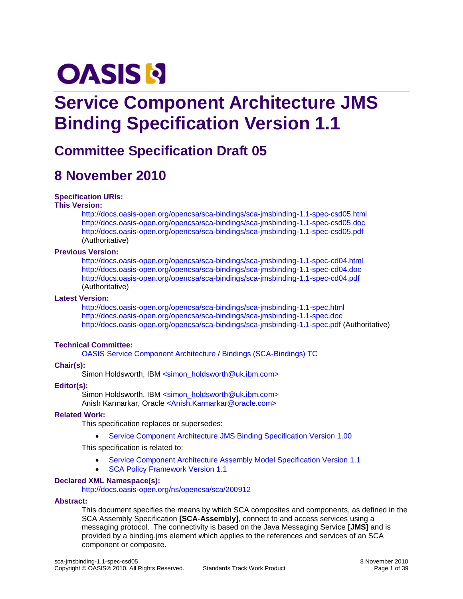# **OASIS N**

# **Service Component Architecture JMS Binding Specification Version 1.1**

# **Committee Specification Draft 05**

# **8 November 2010**

#### **Specification URIs:**

#### **This Version:**

<http://docs.oasis-open.org/opencsa/sca-bindings/sca-jmsbinding-1.1-spec-csd05.html> <http://docs.oasis-open.org/opencsa/sca-bindings/sca-jmsbinding-1.1-spec-csd05.doc> <http://docs.oasis-open.org/opencsa/sca-bindings/sca-jmsbinding-1.1-spec-csd05.pdf> (Authoritative)

#### **Previous Version:**

<http://docs.oasis-open.org/opencsa/sca-bindings/sca-jmsbinding-1.1-spec-cd04.html> <http://docs.oasis-open.org/opencsa/sca-bindings/sca-jmsbinding-1.1-spec-cd04.doc> <http://docs.oasis-open.org/opencsa/sca-bindings/sca-jmsbinding-1.1-spec-cd04.pdf> (Authoritative)

#### **Latest Version:**

<http://docs.oasis-open.org/opencsa/sca-bindings/sca-jmsbinding-1.1-spec.html> <http://docs.oasis-open.org/opencsa/sca-bindings/sca-jmsbinding-1.1-spec.doc> <http://docs.oasis-open.org/opencsa/sca-bindings/sca-jmsbinding-1.1-spec.pdf> (Authoritative)

#### **Technical Committee:**

[OASIS Service Component Architecture / Bindings \(SCA-Bindings\) TC](http://www.oasis-open.org/committees/sca-bindings)

#### **Chair(s):**

Simon Holdsworth, IBM [<simon\\_holdsworth@uk.ibm.com>](mailto:simon_holdsworth@uk.ibm.com)

#### **Editor(s):**

Simon Holdsworth, IBM [<simon\\_holdsworth@uk.ibm.com>](mailto:simon_holdsworth@uk.ibm.com) Anish Karmarkar, Oracle [<Anish.Karmarkar@oracle.com>](mailto:Anish.Karmarkar@oracle.com)

#### **Related Work:**

This specification replaces or supersedes:

Service Component Architecture [JMS Binding Specification Version 1.00](http://www.osoa.org/download/attachments/35/SCA_JMSBinding_V100.pdf?version=2)

This specification is related to:

- [Service Component Architecture Assembly Model Specification Version 1.1](http://docs.oasis-open.org/opencsa/sca-assembly/sca-assembly-1.1-spec.html)
- [SCA Policy Framework Version 1.1](http://docs.oasis-open.org/opencsa/sca-policy/sca-policy-1.1.html)

#### **Declared XML Namespace(s):**

<http://docs.oasis-open.org/ns/opencsa/sca/200912>

#### **Abstract:**

This document specifies the means by which SCA composites and components, as defined in the SCA Assembly Specification **[\[SCA-Assembly\]](#page-5-0)**, connect to and access services using a messaging protocol. The connectivity is based on the Java Messaging Service **[\[JMS\]](#page-4-0)** and is provided by a binding.jms element which applies to the references and services of an SCA component or composite.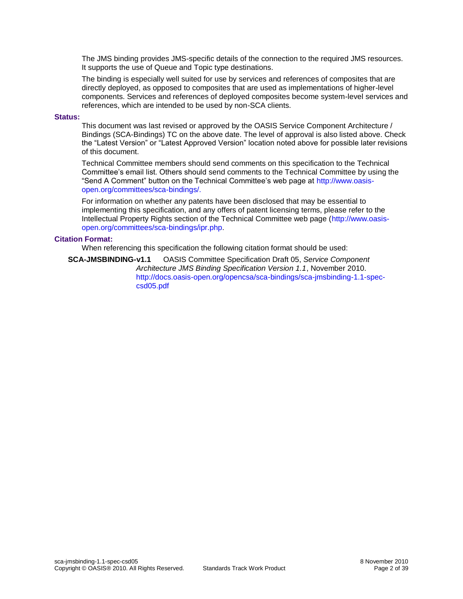The JMS binding provides JMS-specific details of the connection to the required JMS resources. It supports the use of Queue and Topic type destinations.

The binding is especially well suited for use by services and references of composites that are directly deployed, as opposed to composites that are used as implementations of higher-level components. Services and references of deployed composites become system-level services and references, which are intended to be used by non-SCA clients.

#### **Status:**

This document was last revised or approved by the OASIS Service Component Architecture / Bindings (SCA-Bindings) TC on the above date. The level of approval is also listed above. Check the "Latest Version" or "Latest Approved Version" location noted above for possible later revisions of this document.

Technical Committee members should send comments on this specification to the Technical Committee's email list. Others should send comments to the Technical Committee by using the "Send A Comment" button on the Technical Committee's web page at [http://www.oasis](http://www.oasis-open.org/committees/sca-bindings/)[open.org/committees/sca-bindings/.](http://www.oasis-open.org/committees/sca-bindings/)

For information on whether any patents have been disclosed that may be essential to implementing this specification, and any offers of patent licensing terms, please refer to the Intellectual Property Rights section of the Technical Committee web page [\(http://www.oasis](http://www.oasis-open.org/committees/sca-bindings/ipr.php)[open.org/committees/sca-bindings/ipr.php.](http://www.oasis-open.org/committees/sca-bindings/ipr.php)

#### **Citation Format:**

When referencing this specification the following citation format should be used:

**SCA-JMSBINDING-v1.1** OASIS Committee Specification Draft 05, *Service Component Architecture JMS Binding Specification Version 1.1*, November 2010. [http://docs.oasis-open.org/opencsa/sca-bindings/sca-jmsbinding-1.1-spec](http://docs.oasis-open.org/opencsa/sca-bindings/sca-jmsbinding-1.1-spec-csd05.pdf)[csd05.pdf](http://docs.oasis-open.org/opencsa/sca-bindings/sca-jmsbinding-1.1-spec-csd05.pdf)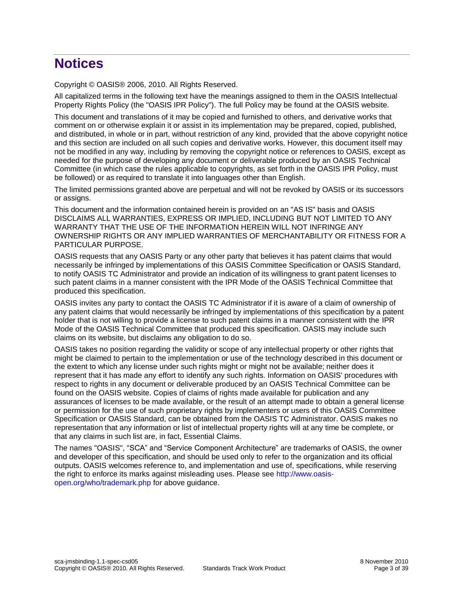# **Notices**

Copyright © OASIS® 2006, 2010. All Rights Reserved.

All capitalized terms in the following text have the meanings assigned to them in the OASIS Intellectual Property Rights Policy (the "OASIS IPR Policy"). The full Policy may be found at the OASIS website.

This document and translations of it may be copied and furnished to others, and derivative works that comment on or otherwise explain it or assist in its implementation may be prepared, copied, published, and distributed, in whole or in part, without restriction of any kind, provided that the above copyright notice and this section are included on all such copies and derivative works. However, this document itself may not be modified in any way, including by removing the copyright notice or references to OASIS, except as needed for the purpose of developing any document or deliverable produced by an OASIS Technical Committee (in which case the rules applicable to copyrights, as set forth in the OASIS IPR Policy, must be followed) or as required to translate it into languages other than English.

The limited permissions granted above are perpetual and will not be revoked by OASIS or its successors or assigns.

This document and the information contained herein is provided on an "AS IS" basis and OASIS DISCLAIMS ALL WARRANTIES, EXPRESS OR IMPLIED, INCLUDING BUT NOT LIMITED TO ANY WARRANTY THAT THE USE OF THE INFORMATION HEREIN WILL NOT INFRINGE ANY OWNERSHIP RIGHTS OR ANY IMPLIED WARRANTIES OF MERCHANTABILITY OR FITNESS FOR A PARTICULAR PURPOSE.

OASIS requests that any OASIS Party or any other party that believes it has patent claims that would necessarily be infringed by implementations of this OASIS Committee Specification or OASIS Standard, to notify OASIS TC Administrator and provide an indication of its willingness to grant patent licenses to such patent claims in a manner consistent with the IPR Mode of the OASIS Technical Committee that produced this specification.

OASIS invites any party to contact the OASIS TC Administrator if it is aware of a claim of ownership of any patent claims that would necessarily be infringed by implementations of this specification by a patent holder that is not willing to provide a license to such patent claims in a manner consistent with the IPR Mode of the OASIS Technical Committee that produced this specification. OASIS may include such claims on its website, but disclaims any obligation to do so.

OASIS takes no position regarding the validity or scope of any intellectual property or other rights that might be claimed to pertain to the implementation or use of the technology described in this document or the extent to which any license under such rights might or might not be available; neither does it represent that it has made any effort to identify any such rights. Information on OASIS' procedures with respect to rights in any document or deliverable produced by an OASIS Technical Committee can be found on the OASIS website. Copies of claims of rights made available for publication and any assurances of licenses to be made available, or the result of an attempt made to obtain a general license or permission for the use of such proprietary rights by implementers or users of this OASIS Committee Specification or OASIS Standard, can be obtained from the OASIS TC Administrator. OASIS makes no representation that any information or list of intellectual property rights will at any time be complete, or that any claims in such list are, in fact, Essential Claims.

The names "OASIS", "SCA" and "Service Component Architecture" are trademarks of OASIS, the owner and developer of this specification, and should be used only to refer to the organization and its official outputs. OASIS welcomes reference to, and implementation and use of, specifications, while reserving the right to enforce its marks against misleading uses. Please see [http://www.oasis](http://www.oasis-open.org/who/trademark.php)[open.org/who/trademark.php](http://www.oasis-open.org/who/trademark.php) for above guidance.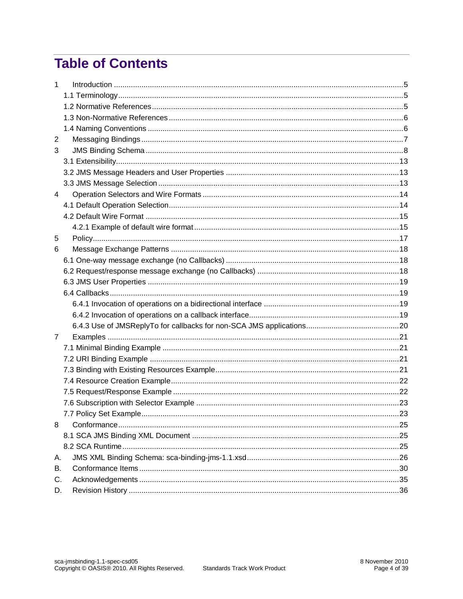# **Table of Contents**

| 1              |  |
|----------------|--|
|                |  |
|                |  |
|                |  |
|                |  |
| 2              |  |
| 3              |  |
|                |  |
|                |  |
|                |  |
| 4              |  |
|                |  |
|                |  |
|                |  |
| 5              |  |
| 6              |  |
|                |  |
|                |  |
|                |  |
|                |  |
|                |  |
|                |  |
|                |  |
| $\overline{7}$ |  |
|                |  |
|                |  |
|                |  |
|                |  |
|                |  |
|                |  |
|                |  |
| 8              |  |
|                |  |
|                |  |
| А.             |  |
| В.             |  |
| C.             |  |
| D.             |  |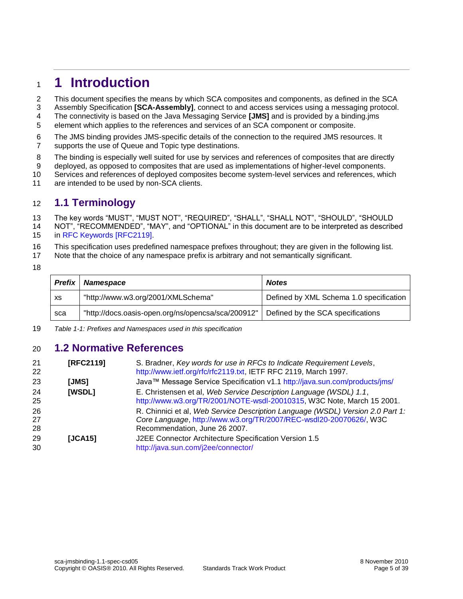### <span id="page-4-1"></span>**1 Introduction**

This document specifies the means by which SCA composites and components, as defined in the SCA

 Assembly Specification **[\[SCA-Assembly\]](#page-5-0)**, connect to and access services using a messaging protocol. The connectivity is based on the Java Messaging Service **[\[JMS\]](#page-4-0)** and is provided by a binding.jms

element which applies to the references and services of an SCA component or composite.

- The JMS binding provides JMS-specific details of the connection to the required JMS resources. It supports the use of Queue and Topic type destinations.
- The binding is especially well suited for use by services and references of composites that are directly
- deployed, as opposed to composites that are used as implementations of higher-level components.
- Services and references of deployed composites become system-level services and references, which
- are intended to be used by non-SCA clients.

#### <span id="page-4-2"></span>**1.1 Terminology**

- The key words "MUST", "MUST NOT", "REQUIRED", "SHALL", "SHALL NOT", "SHOULD", "SHOULD NOT", "RECOMMENDED", "MAY", and "OPTIONAL" in this document are to be interpreted as described in [RFC Keywords](#page-4-4) [RFC2119].
- This specification uses predefined namespace prefixes throughout; they are given in the following list.
- Note that the choice of any namespace prefix is arbitrary and not semantically significant.
- 

| <b>Prefix</b> | <b>Namespace</b>                                   | <b>Notes</b>                            |
|---------------|----------------------------------------------------|-----------------------------------------|
| XS            | "http://www.w3.org/2001/XMLSchema"                 | Defined by XML Schema 1.0 specification |
| sca           | "http://docs.oasis-open.org/ns/opencsa/sca/200912" | Defined by the SCA specifications       |

*Table 1-1: Prefixes and Namespaces used in this specification*

#### <span id="page-4-3"></span>**1.2 Normative References**

<span id="page-4-6"></span><span id="page-4-5"></span><span id="page-4-4"></span><span id="page-4-0"></span>

| 21<br>22       | [RFC2119] | S. Bradner, Key words for use in RFCs to Indicate Requirement Levels,<br>http://www.ietf.org/rfc/rfc2119.txt, IETF RFC 2119, March 1997.                                              |
|----------------|-----------|---------------------------------------------------------------------------------------------------------------------------------------------------------------------------------------|
| 23             | [JMS]     | Java™ Message Service Specification v1.1 http://java.sun.com/products/jms/                                                                                                            |
| 24<br>25       | [WSDL]    | E. Christensen et al, Web Service Description Language (WSDL) 1.1,<br>http://www.w3.org/TR/2001/NOTE-wsdl-20010315, W3C Note, March 15 2001.                                          |
| 26<br>27<br>28 |           | R. Chinnici et al, Web Service Description Language (WSDL) Version 2.0 Part 1:<br>Core Language, http://www.w3.org/TR/2007/REC-wsdl20-20070626/, W3C<br>Recommendation, June 26 2007. |
| 29<br>30       | [JCA15]   | J2EE Connector Architecture Specification Version 1.5<br>http://java.sun.com/j2ee/connector/                                                                                          |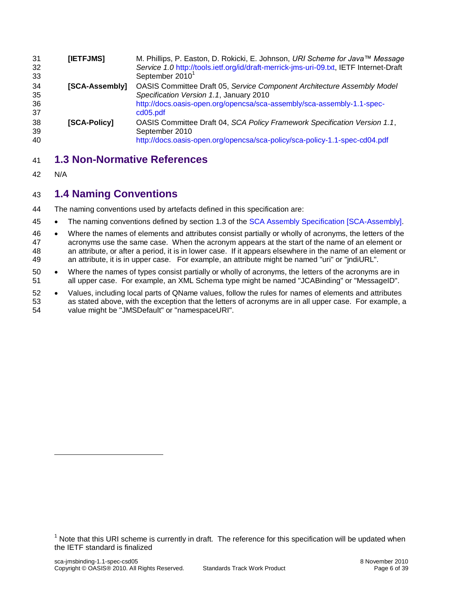<span id="page-5-4"></span><span id="page-5-0"></span>

| 31<br>32<br>33       | [IETFJMS]      | M. Phillips, P. Easton, D. Rokicki, E. Johnson, URI Scheme for Java™ Message<br>Service 1.0 http://tools.ietf.org/id/draft-merrick-jms-uri-09.txt, IETF Internet-Draft<br>September 2010                        |
|----------------------|----------------|-----------------------------------------------------------------------------------------------------------------------------------------------------------------------------------------------------------------|
| 34<br>35<br>36<br>37 | [SCA-Assembly] | <b>OASIS Committee Draft 05, Service Component Architecture Assembly Model</b><br>Specification Version 1.1, January 2010<br>http://docs.oasis-open.org/opencsa/sca-assembly/sca-assembly-1.1-spec-<br>cd05.pdf |
| 38<br>39<br>40       | [SCA-Policy]   | OASIS Committee Draft 04, SCA Policy Framework Specification Version 1.1,<br>September 2010<br>http://docs.oasis-open.org/opencsa/sca-policy/sca-policy-1.1-spec-cd04.pdf                                       |

### <span id="page-5-3"></span><span id="page-5-1"></span>**1.3 Non-Normative References**

N/A

### <span id="page-5-2"></span>**1.4 Naming Conventions**

The naming conventions used by artefacts defined in this specification are:

- 45 The naming conventions defined by section 1.3 of the [SCA Assembly Specification \[SCA-Assembly\].](#page-5-0)
- 46 Where the names of elements and attributes consist partially or wholly of acronyms, the letters of the acronyms use the same case. When the acronym appears at the start of the name of an element or an attribute, or after a period, it is in lower case. If it appears elsewhere in the name of an element or an attribute, it is in upper case. For example, an attribute might be named "uri" or "jndiURL".
- Where the names of types consist partially or wholly of acronyms, the letters of the acronyms are in all upper case. For example, an XML Schema type might be named "JCABinding" or "MessageID".
- 52 . Values, including local parts of QName values, follow the rules for names of elements and attributes as stated above, with the exception that the letters of acronyms are in all upper case. For example, a value might be "JMSDefault" or "namespaceURI".

 Note that this URI scheme is currently in draft. The reference for this specification will be updated when the IETF standard is finalized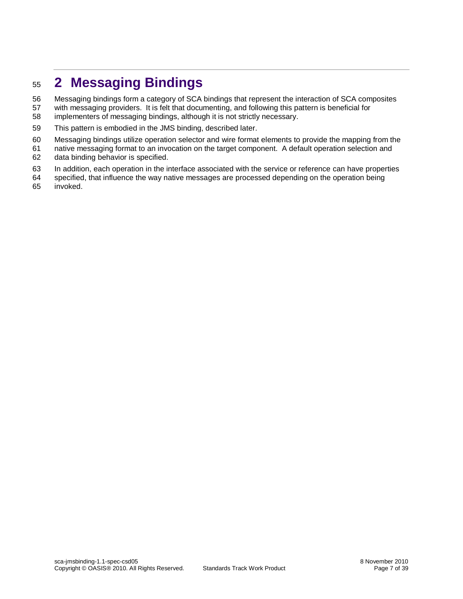# <span id="page-6-0"></span>**2 Messaging Bindings**

Messaging bindings form a category of SCA bindings that represent the interaction of SCA composites

- with messaging providers. It is felt that documenting, and following this pattern is beneficial for
- implementers of messaging bindings, although it is not strictly necessary.
- This pattern is embodied in the JMS binding, described later.
- Messaging bindings utilize operation selector and wire format elements to provide the mapping from the
- native messaging format to an invocation on the target component. A default operation selection and
- data binding behavior is specified.
- In addition, each operation in the interface associated with the service or reference can have properties
- specified, that influence the way native messages are processed depending on the operation being invoked.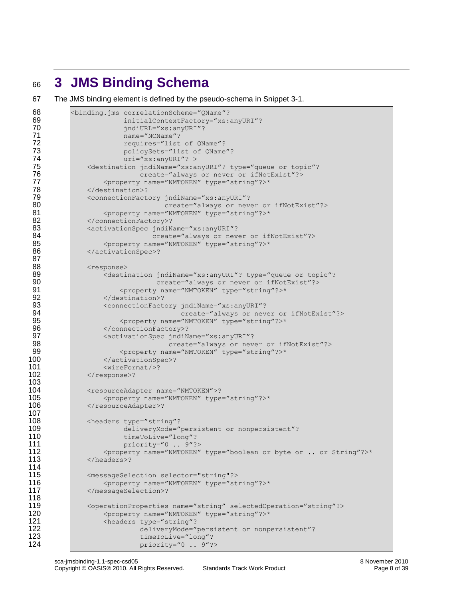# <span id="page-7-0"></span><sup>66</sup> **3 JMS Binding Schema**

67 The JMS binding element is defined by the pseudo-schema in [Snippet 3-1.](#page-8-0)

```
68 <br />
stationScheme="QName"?<br />
69 <br />
initialContextFactory="xs:
69
                         initialContextFactory="xs:anyURI"?
 70 jndiURL="xs:anyURI"?
 71 name="NCName"?<br>72 requires="list
                         requires="list of QName"?
 73 policySets="list of QName"?<br>74 policySets="list of QName"?
 74 uri="xs:anyURI"? >
 75 <destination jndiName="xs:anyURI"? type="queue or topic"?<br>76 create="always or never or ifNotExist"?>
                             create="always or never or ifNotExist"?>
 77 <property name="NMTOKEN" type="string"?>*
 78 </destination>?<br>79 <connectionFact>
               79 <connectionFactory jndiName="xs:anyURI"?
 80 80 create="always or never or ifNotExist"?>
 81 <property name="NMTOKEN" type="string"?>*<br>82 </connectionFactory>?
 82 </connectionFactory>?<br>83 <activationSpec indiNa
 83 <activationSpec jndiName="xs:anyURI"?<br>84 create="always or nev
                                create="always or never or ifNotExist"?>
 85 <property name="NMTOKEN" type="string"?>*
 86 </activationSpec>?
 87
 88 <response><br>89 <esponse>
 89 (destination jndiName="xs:anyURI"? type="queue or topic"?<br>80 (create="always or never or ifNotExist"?>
                                 create="always or never or ifNotExist"?>
 91 <property name="NMTOKEN" type="string"?>*<br>92 </destination>?
                    92 </destination>?
 93 ConnectionFactory jndiName="xs:anyURI"?<br>94 Create="always or nev
 94 create="always or never or ifNotExist"?><br>95 create="NATOKEN" type="string"?>*
 95 $\gamma$ /connectionFactory>?<br>96 </connectionFactory>?
 96 </connectionFactory>?<br>97 <activationSpec indiN
                    97 <activationSpec jndiName="xs:anyURI"?
 98 create="always or never or ifNotExist"?><br>99 coroperty name="NMTOKEN" type="string"?>*
                        99 <property name="NMTOKEN" type="string"?>*
100 </activationSpec>?
101 <wireFormat/>?
102 </response>?
103
104 <resourceAdapter name="NMTOKEN">?<br>105 <property name="NMTOKEN" type
105 <property name="NMTOKEN" type="string"?>*<br>106 </resourceAdapter>?
               </resourceAdapter>?
107
108 <headers type="string"?<br>109 deliveryMode="
109 deliveryMode="persistent or nonpersistent"?<br>110 timeToLive="long"?
110 timeToLive="long"?<br>111 priority="0...9"?
                         priority="0 .. 9"?>
112 <property name="NMTOKEN" type="boolean or byte or .. or String"?>*<br>113 </headers>?
               </headers>?
114
115 <messageSelection selector="string"?> 
116 <property name="NMTOKEN" type="string"?>* 
117 </messageSelection>?
118
               119 <operationProperties name="string" selectedOperation="string"?>
120 > <property name="NMTOKEN" type="string"?>*<br>121 > <headers type="string"?
                    <headers type="string"?
122 deliveryMode="persistent or nonpersistent"?<br>123 timeToLive="long"?
123 timeToLive="long"?<br>124 priority="0..9"?
                             priority="0 .. 9"?>
```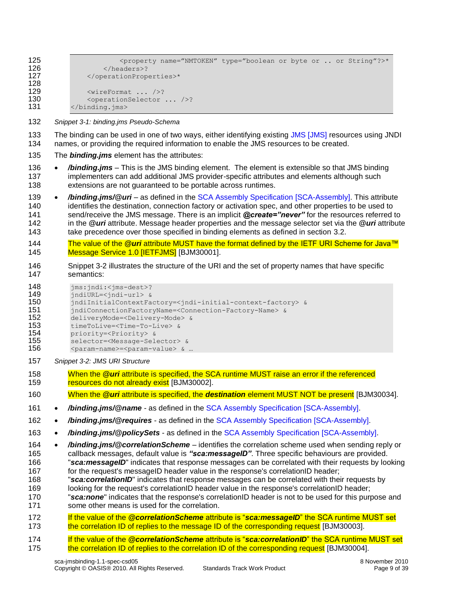```
125 <property name="NMTOKEN" type="boolean or byte or .. or String"?>*
126 </headers>?<br>127 </operationProp
             127 </operationProperties>*
128
             <wireFormat ... />?
130 <operationSelector ... />?
131 </binding.jms>
```
- <span id="page-8-0"></span>*Snippet 3-1: binding.jms Pseudo-Schema*
- The binding can be used in one of two ways, either identifying existing JMS [\[JMS\]](#page-4-0) resources using JNDI names, or providing the required information to enable the JMS resources to be created.
- The *binding.jms* element has the attributes:
- */binding.jms* This is the JMS binding element. The element is extensible so that JMS binding implementers can add additional JMS provider-specific attributes and elements although such extensions are not guaranteed to be portable across runtimes.
- */binding.jms/@uri*  as defined in the [SCA Assembly Specification \[SCA-Assembly\].](#page-5-0) This attribute 140 identifies the destination, connection factory or activation spec, and other properties to be used to send/receive the JMS message. There is an implicit *@create="never"* for the resources referred to in the *@uri* attribute. Message header properties and the message selector set via the *@uri* attribute 143 take precedence over those specified in binding elements as defined in section [3.2.](#page-12-1)
- <span id="page-8-2"></span> The value of the *@uri* [attribute MUST have the format defined by the IETF URI Scheme for Java™](#page-29-1)  [Message Service 1.0 \[IETFJMS\]](#page-29-1) [BJM30001].
- [Snippet 3-2](#page-8-1) illustrates the structure of the URI and the set of property names that have specific semantics:

| 148 | $jms:jndi:?$ |
|-----|--------------|
|-----|--------------|

```
149 jndiURL=<jndi-url> &
```

```
150 jndiInitialContextFactory=<jndi-initial-context-factory> &
```

```
151 jndiConnectionFactoryName=<Connection-Factory-Name> &<br>152 delivervMode=<Deliverv-Mode> &
```
- deliveryMode=<Delivery-Mode> &
- timeToLive=<Time-To-Live> &
- 
- 154 priority=<Priority> &<br>155 selector=<Message-Sel selector=<Message-Selector> &
- 156 <param-name>=<param-value> & ...
- <span id="page-8-1"></span>*Snippet 3-2: JMS URI Structure*
- <span id="page-8-3"></span> When the *@uri* [attribute is specified, the SCA runtime MUST raise an error if the referenced](#page-29-2)  [resources do not already exist](#page-29-2) [BJM30002].
- <span id="page-8-6"></span>When the *@uri* [attribute is specified, the](#page-31-0) *destination* element MUST NOT be present [BJM30034].
- **•** /binding.jms/@name as defined in the [SCA Assembly Specification \[SCA-Assembly\].](#page-5-0)
- */binding.jms/@requires* as defined in the [SCA Assembly Specification \[SCA-Assembly\].](#page-5-0)
- */binding.jms/@policySets* as defined in the [SCA Assembly Specification \[SCA-Assembly\].](#page-5-0)
- */binding.jms/@correlationScheme*  identifies the correlation scheme used when sending reply or callback messages, default value is *"sca:messageID"*. Three specific behaviours are provided. "*sca:messageID*" indicates that response messages can be correlated with their requests by looking for the request's messageID header value in the response's correlationID header;
- "*sca:correlationID*" indicates that response messages can be correlated with their requests by
- looking for the request's correlationID header value in the response's correlationID header;
- "*sca:none*" indicates that the response's correlationID header is not to be used for this purpose and some other means is used for the correlation.
- <span id="page-8-4"></span> If the value of the *@correlationScheme* attribute is "*sca:messageID*[" the SCA runtime MUST set](#page-29-3)  [the correlation ID of replies to the message ID of the corresponding request](#page-29-3) [BJM30003].
- <span id="page-8-5"></span> If the value of the *@correlationScheme* attribute is "*sca:correlationID*[" the SCA runtime MUST set](#page-29-4)  [the correlation ID of replies to the correlation ID of the corresponding request](#page-29-4) [BJM30004].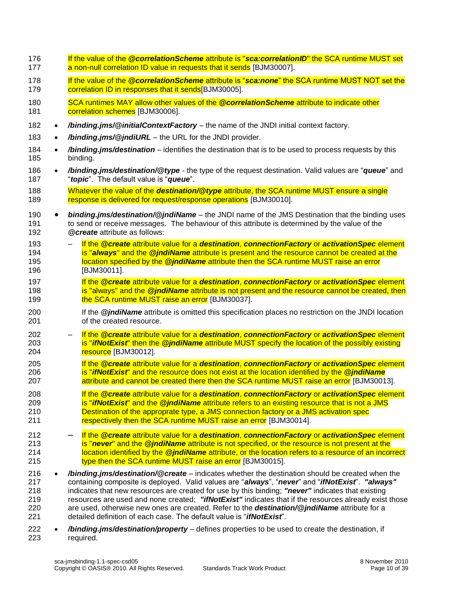<span id="page-9-9"></span><span id="page-9-8"></span><span id="page-9-7"></span><span id="page-9-6"></span><span id="page-9-5"></span><span id="page-9-4"></span><span id="page-9-3"></span><span id="page-9-2"></span><span id="page-9-1"></span><span id="page-9-0"></span> If the value of the *@correlationScheme* attribute is "*sca:correlationID*[" the SCA runtime MUST set](#page-29-5)  **[a non-null correlation ID value in requests that it sends](#page-29-5) [BJM30007].**  If the value of the *@correlationScheme* attribute is "*sca:none*[" the SCA runtime MUST NOT set the](#page-29-6)  179 correlation ID in responses that it sends<sup>[BJM30005]</sup>. [SCA runtimes MAY allow other values of the](#page-29-7) *@correlationScheme* attribute to indicate other [correlation schemes](#page-29-7) [BJM30006]. */binding.jms/@initialContextFactory* – the name of the JNDI initial context factory. 183 • /binding.jms/@jndiURL – the URL for the JNDI provider. */binding.jms/destination* – identifies the destination that is to be used to process requests by this binding. */binding.jms/destination/@type* - the type of the request destination. Valid values are "*queue*" and "*topic*". The default value is "*queue*". Whatever the value of the *destination/@type* [attribute, the SCA runtime MUST ensure a single](#page-29-8)  [response is delivered for request/response operations](#page-29-8) [BJM30010]. *binding.jms/destination/@jndiName* – the JNDI name of the JMS Destination that the binding uses to send or receive messages. The behaviour of this attribute is determined by the value of the *@create* attribute as follows: – If the *@create* attribute value for a *destination*, *[connectionFactory](#page-29-9)* or *activationSpec* element **is "always"** and the **@jndiName** attribute is present and the resource cannot be created at the location specified by the *@jndiName* attribute [then the SCA runtime MUST raise an error](#page-29-9) [BJM30011]. If the *@create* attribute value for a *destination*, *[connectionFactory](#page-31-1)* or *activationSpec* element is "always" and the *@jndiName* [attribute is not present and the resource cannot be created, then](#page-31-1)  **[the SCA runtime MUST raise an error](#page-31-1) [BJM30037].**  If the *@jndiName* attribute is omitted this specification places no restriction on the JNDI location of the created resource. – If the *@create* attribute value for a *destination*, *[connectionFactory](#page-29-10)* or *activationSpec* element is "*ifNotExist*" then the *@jndiName* [attribute MUST specify the location of the possibly existing](#page-29-10)  **[resource](#page-29-10)** [BJM30012]. If the *@create* attribute value for a *destination*, *[connectionFactory](#page-29-11)* or *activationSpec* element is "*ifNotExist*" and the resource [does not exist at the location](#page-29-11) identified by the *@jndiName* **attribute and [cannot be created there then the SCA runtime MUST raise an error](#page-29-11) [BJM30013].**  If the *@create* attribute value for a *destination*, *[connectionFactory](#page-29-12)* or *activationSpec* element is "*ifNotExist*" and the *@jndiName* [attribute refers to an existing resource that is not a JMS](#page-29-12)  [Destination of the approprate type, a JMS connection factory or a JMS activation spec](#page-29-12)  211 respectively [then the SCA runtime MUST raise an error](#page-29-12) [BJM30014]. – If the *@create* attribute value for a *destination*, *[connectionFactory](#page-29-13)* or *activationSpec* element is "*never*" and the *@jndiName* [attribute is not specified, or the resource is not present at the](#page-29-13)  location identified by the *@jndiName* [attribute, or the location refers to a resource of an incorrect](#page-29-13)  [type then the SCA runtime MUST raise an error](#page-29-13) [BJM30015]. */binding.jms/destination/@create* – indicates whether the destination should be created when the containing composite is deployed. Valid values are "*always*", "*never*" and "*ifNotExist*". *"always"* indicates that new resources are created for use by this binding; *"never"* indicates that existing resources are used and none created; *"ifNotExist"* indicates that if the resources already exist those are used, otherwise new ones are created. Refer to the *destination/@jndiName* attribute for a detailed definition of each case. The default value is "*ifNotExist*". */binding.jms/destination/property* – defines properties to be used to create the destination, if required.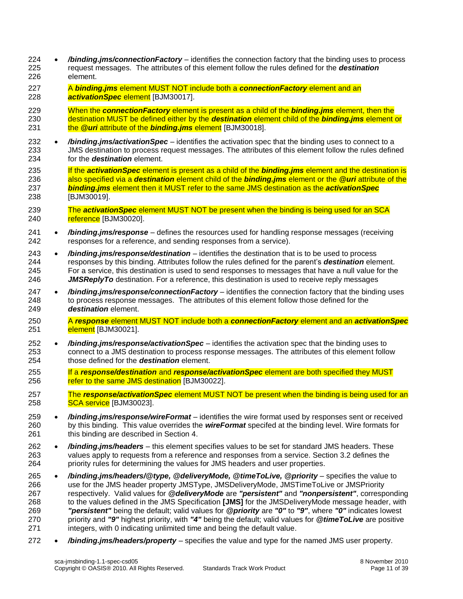- */binding.jms/connectionFactory* identifies the connection factory that the binding uses to process request messages. The attributes of this element follow the rules defined for the *destination* element.
- <span id="page-10-0"></span> A *binding.jms* [element MUST NOT include both a](#page-30-0) *connectionFactory* element and an *[activationSpec](#page-30-0)* element [BJM30017].
- When the *[connectionFactory](#page-30-1)* element is present as a child of the *binding.jms* element, then the [destination MUST be defined either by the](#page-30-1) *destination* element child of the *binding.jms* element or the *@uri* [attribute of the](#page-30-1) *binding.jms* element [BJM30018].
- <span id="page-10-1"></span> */binding.jms/activationSpec* – identifies the activation spec that the binding uses to connect to a JMS destination to process request messages. The attributes of this element follow the rules defined for the *destination* element.
- If the *activationSpec* [element is present as a child of the](#page-30-2) *binding.jms* element and the destination is [also specified via a](#page-30-2) *destination* element child of the *binding.jms* element or the *@uri* attribute of the *binding.jms* element [then it MUST refer to the same JMS destination](#page-30-2) as the *activationSpec* [BJM30019].
- <span id="page-10-3"></span><span id="page-10-2"></span> The *activationSpec* [element MUST NOT be present when the binding is being used for an SCA](#page-30-3)  [reference](#page-30-3) [BJM30020].
- */binding.jms/response* defines the resources used for handling response messages (receiving responses for a reference, and sending responses from a service).
- */binding.jms/response/destination* identifies the destination that is to be used to process responses by this binding. Attributes follow the rules defined for the parent's *destination* element. For a service, this destination is used to send responses to messages that have a null value for the *JMSReplyTo* destination. For a reference, this destination is used to receive reply messages
- */binding.jms/response/connectionFactory* identifies the connection factory that the binding uses to process response messages. The attributes of this element follow those defined for the *destination* element.
- <span id="page-10-4"></span> A *response* [element MUST NOT include both a](#page-30-4) *connectionFactory* element and an *activationSpec* **[element](#page-30-4)** [BJM30021].
- */binding.jms/response/activationSpec* identifies the activation spec that the binding uses to connect to a JMS destination to process response messages. The attributes of this element follow those defined for the *destination* element.
- <span id="page-10-5"></span> If a *response/destination* and *[response/activationSpec](#page-30-5)* element are both specified they MUST [refer to the same JMS destination](#page-30-5) [BJM30022].
- <span id="page-10-6"></span> The *response/activationSpec* element MUST NOT [be present when the binding is being used for an](#page-30-6)  **[SCA service](#page-30-6)** [BJM30023].
- */binding.jms/response/wireFormat* identifies the wire format used by responses sent or received by this binding. This value overrides the *wireFormat* specifed at the binding level. Wire formats for 261 this binding are described in Section [4.](#page-13-0)
- */binding.jms/headers* this element specifies values to be set for standard JMS headers. These values apply to requests from a reference and responses from a service. Sectio[n 3.2](#page-12-1) defines the priority rules for determining the values for JMS headers and user properties.
- */binding.jms/headers/@type, @deliveryMode, @timeToLive, @priority* specifies the value to use for the JMS header property JMSType, JMSDeliveryMode, JMSTimeToLive or JMSPriority respectively. Valid values for *@deliveryMode* are *"persistent"* and *"nonpersistent"*, corresponding to the values defined in the JMS Specification **[\[JMS\]](#page-4-0)** for the JMSDeliveryMode message header, with *"persistent"* being the default; valid values for *@priority* are *"0"* to *"9"*, where *"0"* indicates lowest priority and *"9"* highest priority, with *"4"* being the default; valid values for *@timeToLive* are positive integers, with 0 indicating unlimited time and being the default value.
- */binding.jms/headers/property* specifies the value and type for the named JMS user property.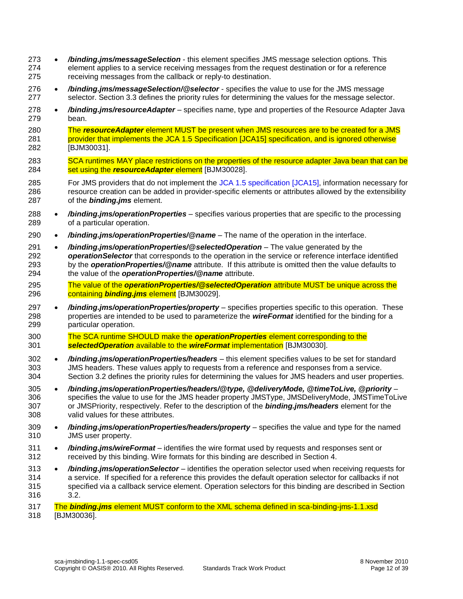- */binding.jms/messageSelection* this element specifies JMS message selection options. This element applies to a service receiving messages from the request destination or for a reference receiving messages from the callback or reply-to destination.
- */binding.jms/messageSelection/@selector* specifies the value to use for the JMS message selector. Sectio[n 3.3](#page-12-2) defines the priority rules for determining the values for the message selector.
- */binding.jms/resourceAdapter* specifies name, type and properties of the Resource Adapter Java bean.

 The *resourceAdapter* [element MUST be present when JMS resources](#page-31-2) are to be created for a JMS provider that implements the JCA 1.5 Specification [JCA15] [specification, and is ignored otherwise](#page-31-2) [BJM30031].

- <span id="page-11-3"></span><span id="page-11-0"></span>[SCA runtimes MAY place restrictions on the properties of the resource adapter](#page-30-7) Java bean that can be set using the *[resourceAdapter](#page-30-7)* element [BJM30028].
- For JMS providers that do not implement the [JCA 1.5 specification](#page-4-5) [JCA15], information necessary for resource creation can be added in provider-specific elements or attributes allowed by the extensibility of the *binding.jms* element.
- */binding.jms/operationProperties* specifies various properties that are specific to the processing of a particular operation.
- */binding.jms/operationProperties/@name* The name of the operation in the interface.
- */binding.jms/operationProperties/@selectedOperation* The value generated by the
- *operationSelector* that corresponds to the operation in the service or reference interface identified by the *operationProperties/@name* attribute. If this attribute is omitted then the value defaults to the value of the *operationProperties/@name* attribute.
- <span id="page-11-1"></span> The value of the *[operationProperties/@selectedOperation](#page-31-3)* attribute MUST be unique across the containing *[binding.jms](#page-31-3)* element [BJM30029].
- */binding.jms/operationProperties/property* specifies properties specific to this operation. These properties are intended to be used to parameterize the *wireFormat* identified for the binding for a particular operation.
- <span id="page-11-2"></span> [The SCA runtime SHOULD make the](#page-31-4) *operationProperties* element corresponding to the *[selectedOperation](#page-31-4)* available to the *wireFormat* implementation [BJM30030].
- */binding.jms/operationProperties/headers* this element specifies values to be set for standard JMS headers. These values apply to requests from a reference and responses from a service. Section [3.2](#page-12-1) defines the priority rules for determining the values for JMS headers and user properties.
- */binding.jms/operationProperties/headers/@type, @deliveryMode, @timeToLive, @priority* specifies the value to use for the JMS header property JMSType, JMSDeliveryMode, JMSTimeToLive or JMSPriority, respectively. Refer to the description of the *binding.jms/headers* element for the valid values for these attributes.
- */binding.jms/operationProperties/headers/property* specifies the value and type for the named JMS user property.
- */binding.jms/wireFormat* identifies the wire format used by requests and responses sent or received by this binding. Wire formats for this binding are described in Section [4.](#page-13-0)
- */binding.jms/operationSelector* identifies the operation selector used when receiving requests for a service. If specified for a reference this provides the default operation selector for callbacks if not specified via a callback service element. Operation selectors for this binding are described in Section [3.2.](#page-12-1)

<span id="page-11-4"></span> The *binding.jms* [element MUST conform to the XML schema defined in sca-binding-jms-1.1.xsd](#page-31-5) [BJM30036].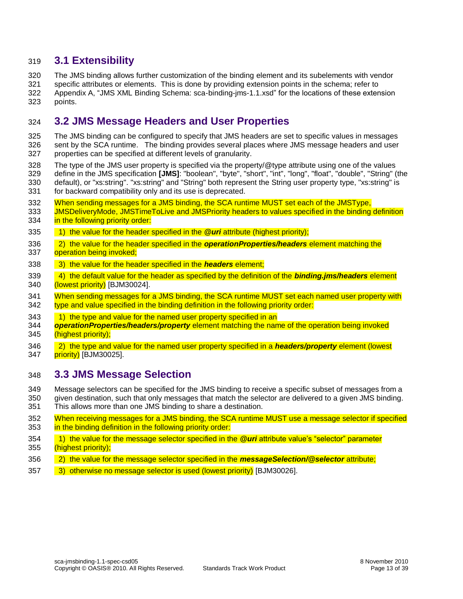#### <span id="page-12-0"></span>**3.1 Extensibility**

 The JMS binding allows further customization of the binding element and its subelements with vendor specific attributes or elements. This is done by providing extension points in the schema; refer to Appendix [A,](#page-25-0) ["JMS XML Binding Schema: sca-binding-jms-1.1.xsd"](#page-25-0) for the locations of these extension points.

### <span id="page-12-1"></span>**3.2 JMS Message Headers and User Properties**

 The JMS binding can be configured to specify that JMS headers are set to specific values in messages sent by the SCA runtime. The binding provides several places where JMS message headers and user properties can be specified at different levels of granularity.

- The type of the JMS user property is specified via the property/@type attribute using one of the values define in the JMS specification **[\[JMS\]](#page-4-0)**: "boolean", "byte", "short", "int", "long", "float", "double", "String" (the default), or "xs:string". "xs:string" and "String" both represent the String user property type, "xs:string" is for backward compatibility only and its use is deprecated.
- [When sending messages for a JMS binding, the SCA runtime MUST set each of the JMSType,](#page-30-8)
- 333 JMSDeliveryMode, JMSTimeToLive and JMSPriority headers to values specified in the binding definition **in the following priority order:**
- [1\) the value for the header specified in the](#page-30-8) *@uri* attribute (highest priority);
- [2\) the value for the header specified in the](#page-30-8) *operationProperties/headers* element matching the [operation being invoked;](#page-30-8)
- [3\) the value for the header specified in the](#page-30-8) *headers* element;
- <span id="page-12-3"></span> [4\) the default value for the header as specified by the definition of the](#page-30-8) *binding.jms/headers* element [\(lowest priority\)](#page-30-8) [BJM30024].
- 341 When sending messages for a JMS binding, the SCA runtime MUST set each named user property with 342 type and value specified in the binding definition in the following priority order:
- 343 1) the type and value for the named user property specified in an
- *operationProperties/headers/property* [element matching the name of the operation being invoked](#page-30-9)  [\(highest priority\);](#page-30-9)
- <span id="page-12-4"></span> [2\) the type and value for the named user property specified in a](#page-30-9) *headers/property* element (lowest **priority** [BJM30025].

#### <span id="page-12-2"></span>**3.3 JMS Message Selection**

 Message selectors can be specified for the JMS binding to receive a specific subset of messages from a given destination, such that only messages that match the selector are delivered to a given JMS binding.

- This allows more than one JMS binding to share a destination.
- When receiving messages [for a JMS binding, the SCA runtime MUST use a message selector if specified](#page-30-10)  [in the binding definition in the following priority order:](#page-30-10)
- [1\) the value for the message selector specified in the](#page-30-10) *@uri* attribute value's "selector" parameter [\(highest priority\);](#page-30-10)
- [2\) the value for the message selector specified in the](#page-30-10) *messageSelection/@selector* attribute;
- <span id="page-12-5"></span> [3\) otherwise no message selector is used \(lowest priority\)](#page-30-10) [BJM30026].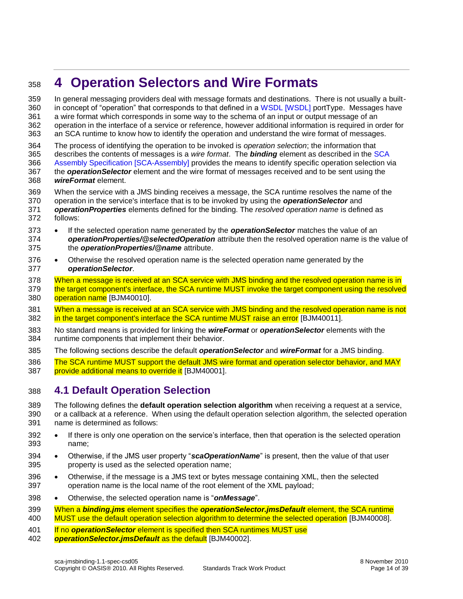# <span id="page-13-0"></span>**4 Operation Selectors and Wire Formats**

 In general messaging providers deal with message formats and destinations. There is not usually a built- in concept of "operation" that corresponds to that defined in a [WSDL \[WSDL\]](#page-4-6) portType. Messages have a wire format which corresponds in some way to the schema of an input or output message of an operation in the interface of a service or reference, however additional information is required in order for an SCA runtime to know how to identify the operation and understand the wire format of messages.

 The process of identifying the operation to be invoked is *operation selection*; the information that describes the contents of messages is a *wire format*. The *binding* element as described in the [SCA](#page-5-0)  [Assembly Specification \[SCA-Assembly\]](#page-5-0) provides the means to identify specific operation selection via the *operationSelector* element and the wire format of messages received and to be sent using the *wireFormat* element.

- When the service with a JMS binding receives a message, the SCA runtime resolves the name of the
- operation in the service's interface that is to be invoked by using the *operationSelector* and
- *operationProperties* elements defined for the binding. The *resolved operation name* is defined as follows:
- 373 If the selected operation name generated by the **operationSelector** matches the value of an *operationProperties/@selectedOperation* attribute then the resolved operation name is the value of the *operationProperties/@name* attribute.
- 376 Otherwise the resolved operation name is the selected operation name generated by the *operationSelector*.
- 378 When a message is received at an SCA service with JMS binding and the resolved operation name is in 379 the target component's interface, the SCA runtime MUST invoke the target component using the resolved [operation name](#page-31-6) [BJM40010].
- <span id="page-13-6"></span><span id="page-13-5"></span> [When a message is received at an SCA service with JMS binding and the resolved operation name is not](#page-31-7)  [in the target component's interface the SCA runtime MUST raise an error](#page-31-7) [BJM40011].
- No standard means is provided for linking the *wireFormat* or *operationSelector* elements with the runtime components that implement their behavior.
- The following sections describe the default *operationSelector* and *wireFormat* for a JMS binding.
- <span id="page-13-2"></span>386 The SCA runtime MUST support the default JMS wire format and operation selector behavior, and MAY [provide additional means to override it](#page-31-8) [BJM40001].

### <span id="page-13-1"></span>**4.1 Default Operation Selection**

 The following defines the **default operation selection algorithm** when receiving a request at a service, or a callback at a reference. When using the default operation selection algorithm, the selected operation name is determined as follows:

- 392 If there is only one operation on the service's interface, then that operation is the selected operation name;
- **•** Otherwise, if the JMS user property "*scaOperationName*" is present, then the value of that user property is used as the selected operation name;
- Otherwise, if the message is a JMS text or bytes message containing XML, then the selected operation name is the local name of the root element of the XML payload;
- Otherwise, the selected operation name is "*onMessage*".
- <span id="page-13-4"></span> When a *binding.jms* element specifies the *[operationSelector.jmsDefault](#page-31-9)* element, the SCA runtime [MUST use the default operation selection algorithm to determine the selected operation](#page-31-9) [BJM40008].
- If no *operationSelector* [element is specified then SCA runtimes MUST use](#page-31-10)
- <span id="page-13-3"></span>*[operationSelector.jmsDefault](#page-31-10)* as the default [BJM40002].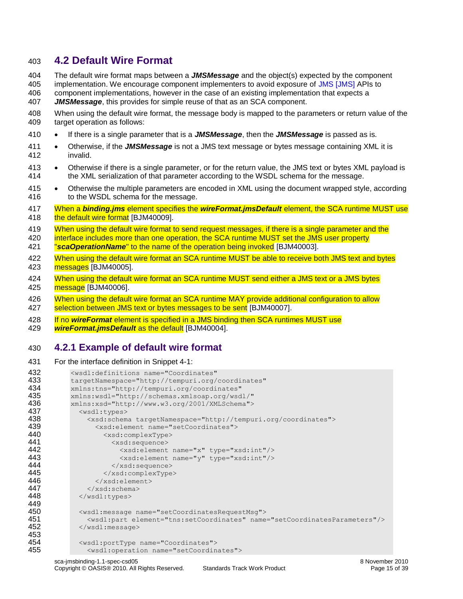#### <span id="page-14-0"></span>403 **4.2 Default Wire Format**

404 The default wire format maps between a *JMSMessage* and the object(s) expected by the component

405 implementation. We encourage component implementers to avoid exposure of JMS [\[JMS\]](#page-4-0) APIs to 406 component implementations, however in the case of an existing implementation that expects a

407 *JMSMessage*, this provides for simple reuse of that as an SCA component.

- 408 When using the default wire format, the message body is mapped to the parameters or return value of the 409 target operation as follows:
- 410 If there is a single parameter that is a *JMSMessage*, then the *JMSMessage* is passed as is.
- 411 Otherwise, if the *JMSMessage* is not a JMS text message or bytes message containing XML it is 412 invalid.
- 413 Otherwise if there is a single parameter, or for the return value, the JMS text or bytes XML payload is 414 the XML serialization of that parameter according to the WSDL schema for the message.
- 415 Otherwise the multiple parameters are encoded in XML using the document wrapped style, according 416 to the WSDL schema for the message.
- <span id="page-14-7"></span>417 When a *binding.jms* element specifies the *wireFormat.jmsDefault* [element, the SCA runtime MUST use](#page-31-11)  418 [the default wire format](#page-31-11) [BJM40009].
- 419 When using the default wire format to send request messages, if there is a single parameter and the
- 420 interface includes more than one operation, the SCA runtime MUST set the JMS user property 421 "*scaOperationName*[" to the name of the operation being invoked](#page-31-12) [BJM40003].
- <span id="page-14-4"></span><span id="page-14-2"></span>422 When using the default wire format an SCA runtime MUST be able to receive both JMS text and bytes 423 [messages](#page-31-13) [BJM40005].
- <span id="page-14-5"></span>424 When using the default wire format an SCA runtime MUST send either a JMS text or a JMS bytes 425 [message](#page-31-14) [BJM40006].
- <span id="page-14-6"></span>426 When using the default wire format an SCA runtime MAY provide additional configuration to allow 427 [selection between JMS text or bytes messages to be sent](#page-31-15) [BJM40007].
- 428 If no *wireFormat* [element is specified in a JMS binding then SCA runtimes MUST use](#page-31-16)
- <span id="page-14-3"></span>429 *[wireFormat.jmsDefault](#page-31-16)* as the default [BJM40004].

#### <span id="page-14-1"></span>430 **4.2.1 Example of default wire format**

```
431 For the interface definition in Snippet 4-1:
```

```
432 <wsdl:definitions name="Coordinates"<br>433 targetNamespace="http://tempuri.org/
433 targetNamespace="http://tempuri.org/coordinates"<br>434 mlns:tns="http://tempuri.org/coordinates"
434 xmlns:tns="http://tempuri.org/coordinates" 
435 xmlns:wsdl="http://schemas.xmlsoap.org/wsdl/" 
436 xmlns:xsd="http://www.w3.org/2001/XMLSchema"><br>437 <wsdl:types>
                <wsdl:types>
438 <xsd:schema targetNamespace="http://tempuri.org/coordinates"> 
439 \xixsd:element name="setCoordinates"><br>440 \xixsd:complexTvpe>
440 <xsd:complexType><br>441 <xsd:sequence>
441 <xsd:sequence> 
442 <xsd:element name="x" type="xsd:int"/><br>443 <xsd:element name="v" type="xsd:int"/>
443 <xsd:element name="y" type="xsd:int"/><br>444 </xsd:sequence>
444 \langle x \rangle </xsd:sequence><br>445 \langle x \rangle </xsd:complexType
                       445 </xsd:complexType> 
446 </xsd:element> 
447 \langle xsd:schema\rangle<br>448 \langle wsd1:types\rangle\langle/wsdl:types>
449<br>450
450 <wsdl:message name="setCoordinatesRequestMsg"><br>451 <wsdl:part element="tns:setCoordinates" name
                  451 <wsdl:part element="tns:setCoordinates" name="setCoordinatesParameters"/> 
452 </wsdl:message> 
453<br>454
454 <wsdl:portType name="Coordinates"><br>455 <wsdl:operation name="setCoordin
                  455 <wsdl:operation name="setCoordinates">
```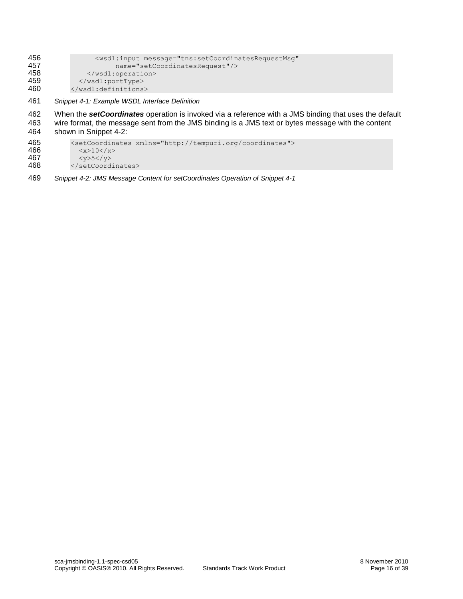| 456 | <wsdl:input <="" message="tns:setCoordinatesRequestMsq" th=""></wsdl:input> |
|-----|-----------------------------------------------------------------------------|
| 457 | name="setCoordinatesRequest"/>                                              |
| 458 | $\langle$ /wsdl:operation>                                                  |
| 459 |                                                                             |
| 460 |                                                                             |
|     |                                                                             |

<span id="page-15-0"></span>461 *Snippet 4-1: Example WSDL Interface Definition*

462 When the **setCoordinates** operation is invoked via a reference with a JMS binding that uses the default 463 wire format, the message sent from the JMS binding is a JMS text or bytes message with the content wire format, the message sent from the JMS binding is a JMS text or bytes message with the content 464 shown in [Snippet 4-2:](#page-15-1)

```
465 <setCoordinates xmlns="http://tempuri.org/coordinates"><br>466 < < x>10</ x>
466 \xi_{x>10<}/x><br>467 \xi_{y>5<}/y>467 \langle y \rangle5</y>468 \langle y \ranglesetCoord
                468 </setCoordinates>
```
<span id="page-15-1"></span>469 *Snippet 4-2: JMS Message Content for setCoordinates Operation o[f Snippet 4-1](#page-15-0)*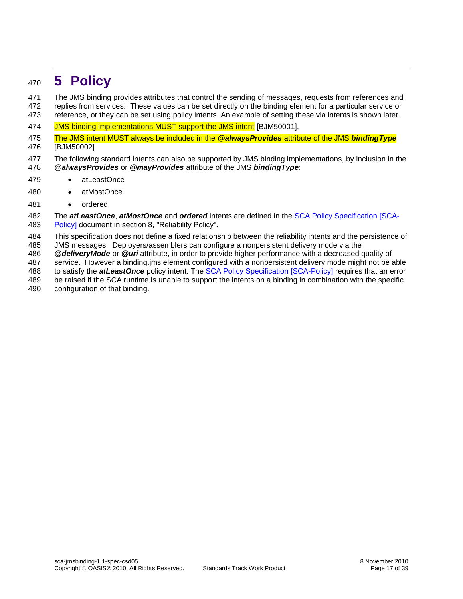### <span id="page-16-0"></span>**5 Policy**

 The JMS binding provides attributes that control the sending of messages, requests from references and replies from services. These values can be set directly on the binding element for a particular service or reference, or they can be set using policy intents. An example of setting these via intents is shown later.

- <span id="page-16-1"></span>[JMS binding implementations MUST support the JMS intent](#page-32-0) [BJM50001].
- <span id="page-16-2"></span> [The JMS intent MUST always be included in the](#page-32-1) *@alwaysProvides* attribute of the JMS *bindingType* [BJM50002]
- The following standard intents can also be supported by JMS binding implementations, by inclusion in the *@alwaysProvides* or *@mayProvides* attribute of the JMS *bindingType*:
- 479 · atLeastOnce
- 480 · atMostOnce
- ordered
- The *atLeastOnce*, *atMostOnce* and *ordered* intents are defined in the [SCA Policy Specification \[SCA-](#page-5-3)[Policy\]](#page-5-3) document in section 8, "Reliability Policy".
- This specification does not define a fixed relationship between the reliability intents and the persistence of
- JMS messages. Deployers/assemblers can configure a nonpersistent delivery mode via the
- *@deliveryMode* or *@uri* attribute, in order to provide higher performance with a decreased quality of
- service. However a binding.jms element configured with a nonpersistent delivery mode might not be able to satisfy the *atLeastOnce* policy intent. The [SCA Policy Specification \[SCA-Policy\]](#page-5-3) requires that an error
- be raised if the SCA runtime is unable to support the intents on a binding in combination with the specific
- configuration of that binding.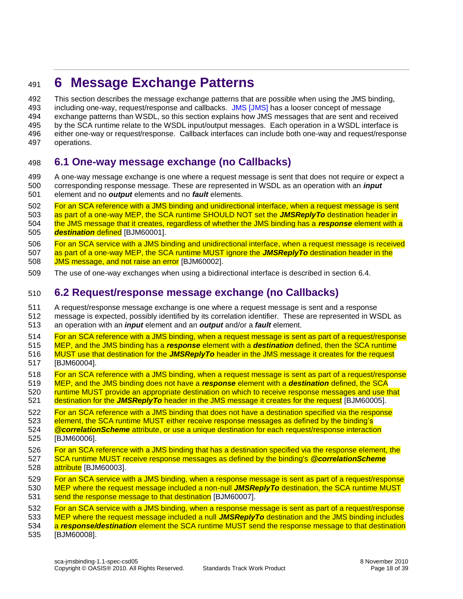# <span id="page-17-0"></span>**6 Message Exchange Patterns**

 This section describes the message exchange patterns that are possible when using the JMS binding, including one-way, request/response and callbacks. [JMS \[JMS\]](#page-4-0) has a looser concept of message exchange patterns than WSDL, so this section explains how JMS messages that are sent and received by the SCA runtime relate to the WSDL input/output messages. Each operation in a WSDL interface is either one-way or request/response. Callback interfaces can include both one-way and request/response operations.

### <span id="page-17-1"></span>**6.1 One-way message exchange (no Callbacks)**

 A one-way message exchange is one where a request message is sent that does not require or expect a corresponding response message. These are represented in WSDL as an operation with an *input* element and no *output* elements and no *fault* elements.

- For an SCA reference with a JMS binding [and unidirectional interface, when a request message is sent](#page-32-2)  [as part of a one-way MEP, the SCA runtime SHOULD NOT set the](#page-32-2) *JMSReplyTo* destination header in [the JMS message that it creates, regardless of whether the JMS binding has a](#page-32-2) *response* element with a
- *[destination](#page-32-2)* defined [BJM60001].

<span id="page-17-3"></span> For an SCA service with a JMS binding [and unidirectional interface, when a request message is received](#page-32-3)  [as part of a one-way MEP, the SCA runtime MUST ignore the](#page-32-3) *JMSReplyTo* destination header in the [JMS message, and not raise an error](#page-32-3) [BJM60002].

<span id="page-17-4"></span>The use of one-way exchanges when using a bidirectional interface is described in section [6.4.](#page-18-1)

### <span id="page-17-2"></span>**6.2 Request/response message exchange (no Callbacks)**

 A request/response message exchange is one where a request message is sent and a response message is expected, possibly identified by its correlation identifier. These are represented in WSDL as an operation with an *input* element and an *output* and/or a *fault* element.

 [For an SCA reference with a JMS binding, when a request message is sent as part of a request/response](#page-32-4)  [MEP, and the JMS binding has a](#page-32-4) *response* element with a *destination* defined, then the SCA runtime MUST use that destination for the *JMSReplyTo* [header in the JMS message it creates for the request](#page-32-4) [BJM60004].

- <span id="page-17-6"></span>518 For an SCA reference with a JMS binding, when a request message is sent as part of a request/response
- [MEP, and the JMS binding does not have a](#page-32-5) *response* element with a *destination* defined, the SCA
- <span id="page-17-7"></span>520 runtime MUST provide an appropriate destination on which to receive response messages and use that
- destination for the *JMSReplyTo* [header in the JMS message it creates for the request](#page-32-5) [BJM60005].

 For an SCA reference with a JMS binding [that does not have a destination specified via the response](#page-32-6)  element, the SCA runtime MUST either [receive response messages as defined by the binding's](#page-32-6)  *@correlationScheme* [attribute, or use a unique destination for each request/response interaction](#page-32-6)

- <span id="page-17-8"></span>[BJM60006].
- [For an SCA reference with a JMS binding that has a destination specified via the response element, the](#page-32-7)  [SCA runtime MUST receive response messages as defined by the binding's](#page-32-7) *@correlationScheme*
- [attribute](#page-32-7) [BJM60003].
- <span id="page-17-5"></span> [For an SCA service with a JMS binding, when a response message is sent as part of a request/response](#page-32-8)  [MEP where the request message included a non-null](#page-32-8) *JMSReplyTo* destination, the SCA runtime MUST [send the response message to that destination](#page-32-8) [BJM60007].
- <span id="page-17-9"></span> [For an SCA service with a JMS binding, when a response message is sent as part of a request/response](#page-32-9)  [MEP where the request message included a null](#page-32-9) *JMSReplyTo* destination and the JMS binding includes a *response/destination* [element the SCA runtime MUST send the response message to that destination](#page-32-9)
- <span id="page-17-10"></span>[BJM60008].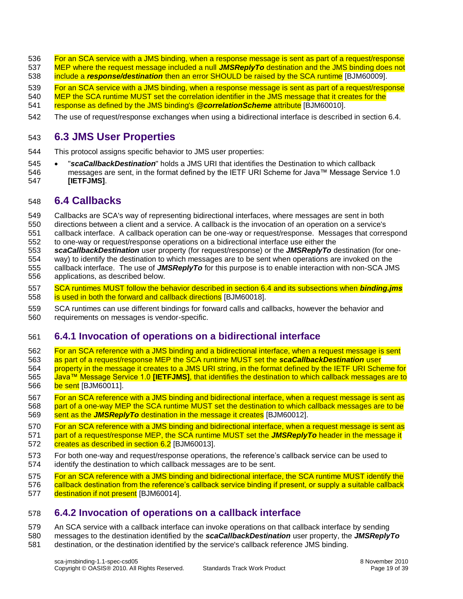- 536 For an SCA service with a JMS binding, when a response message is sent as part of a request/response [MEP where the request message included a null](#page-32-10) *JMSReplyTo* destination and the JMS binding does not
- include a *response/destination* [then an error SHOULD be raised by the SCA runtime](#page-32-10) [BJM60009].
- <span id="page-18-4"></span> [For an SCA service with a JMS binding, when a response message is sent as part of a request/response](#page-32-11)  [MEP the SCA runtime MUST set the correlation identifier in the JMS message that it creates for the](#page-32-11)
- [response as defined by the JMS binding's](#page-32-11) *@correlationScheme* attribute [BJM60010].
- <span id="page-18-5"></span>The use of request/response exchanges when using a bidirectional interface is described in sectio[n 6.4.](#page-18-1)

### <span id="page-18-0"></span>**6.3 JMS User Properties**

- This protocol assigns specific behavior to JMS user properties:
- "*scaCallbackDestination*" holds a JMS URI that identifies the Destination to which callback messages are sent, in the format defined by the IETF URI Scheme for Java™ Message Service 1.0 **[\[IETFJMS\]](#page-5-4)**.

#### <span id="page-18-1"></span>**6.4 Callbacks**

- Callbacks are SCA's way of representing bidirectional interfaces, where messages are sent in both
- directions between a client and a service. A callback is the invocation of an operation on a service's
- callback interface. A callback operation can be one-way or request/response. Messages that correspond to one-way or request/response operations on a bidirectional interface use either the
- *scaCallbackDestination* user property (for request/response) or the *JMSReplyTo* destination (for one-
- way) to identify the destination to which messages are to be sent when operations are invoked on the
- callback interface. The use of *JMSReplyTo* for this purpose is to enable interaction with non-SCA JMS applications, as described below.
- <span id="page-18-10"></span> [SCA runtimes MUST follow the behavior described in section 6.4](#page-33-0) and its subsections when *binding.jms* [is used in both the forward and callback directions](#page-33-0) [BJM60018].
- SCA runtimes can use different bindings for forward calls and callbacks, however the behavior and requirements on messages is vendor-specific.

### <span id="page-18-2"></span>**6.4.1 Invocation of operations on a bidirectional interface**

- For an SCA [reference with a JMS binding and a bidirectional interface, when a request message is sent](#page-33-1) [as part of a request/response MEP](#page-33-1) the SCA runtime MUST set the *scaCallbackDestination* user [property in the message it creates to a JMS URI string, in the format defined by the IETF URI Scheme for](#page-33-1)  Java™ Message Service 1.0 **[IETFJMS]**[, that identifies the destination to which callback messages are to](#page-33-1)  [be sent](#page-33-1) [BJM60011].
- <span id="page-18-6"></span> [For an SCA reference with a JMS binding and bidirectional interface, when a request message is sent as](#page-33-2)  [part of a one-way MEP the SCA runtime MUST set the](#page-33-2) destination to which callback messages are to be
- 569 sent as the **JMSReplyTo** destination [in the message it creates](#page-33-2) [BJM60012].
- <span id="page-18-7"></span> [For an SCA reference with a JMS binding and bidirectional interface, when a request message is sent as](#page-33-3)  part of [a request/response MEP, the SCA runtime MUST set the](#page-33-3) *JMSReplyTo* header in the message it [creates as described in section 6.2](#page-33-3) [BJM60013].
- <span id="page-18-8"></span> For both one-way and request/response operations, the reference's callback service can be used to identify the destination to which callback messages are to be sent.
- [For an SCA reference with a JMS binding and bidirectional interface, the SCA runtime MUST identify the](#page-33-4)
- 576 callback destination from the reference's callback service binding if present, or supply a suitable callback
- <span id="page-18-9"></span>[destination if not present](#page-33-4) [BJM60014].

#### <span id="page-18-3"></span>**6.4.2 Invocation of operations on a callback interface**

- An SCA service with a callback interface can invoke operations on that callback interface by sending messages to the destination identified by the *scaCallbackDestination* user property, the *JMSReplyTo*
- destination, or the destination identified by the service's callback reference JMS binding.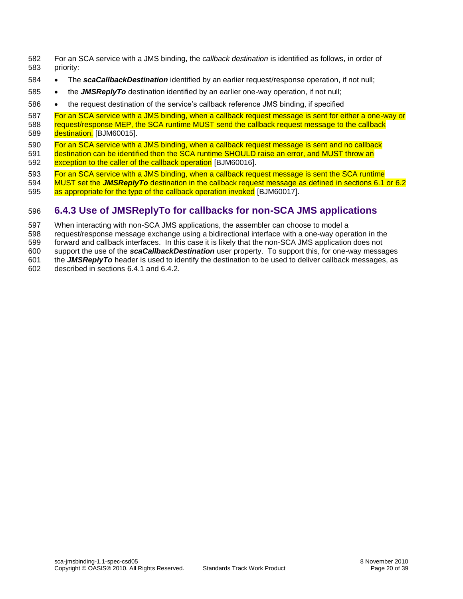For an SCA service with a JMS binding, the *callback destination* is identified as follows, in order of priority:

- **•** The **scaCallbackDestination** identified by an earlier request/response operation, if not null;
- **•** the *JMSReplyTo* destination identified by an earlier one-way operation, if not null;
- 586 the request destination of the service's callback reference JMS binding, if specified

587 For an SCA service with a JMS binding, when a callback request message is sent for either a one-way or 588 request/response MEP, the SCA runtime MUST send the callback request message to the callback [destination.](#page-33-5) [BJM60015].

<span id="page-19-1"></span>590 For an SCA service with a JMS binding, when a callback request message is sent and no callback

<span id="page-19-2"></span> [destination can be identified then the SCA runtime SHOULD raise an error, and MUST throw an](#page-33-6)  [exception to the caller of the callback operation](#page-33-6) [BJM60016].

- 
- 593 For an SCA service with a JMS binding, when a callback request message is sent the SCA runtime<br>594 MUST set the JMSReplyTo destination in the callback request message as defined in sections 6.1 MUST set the *JMSReplyTo* [destination in the callback request message as defined](#page-33-7) in sections 6.1 or 6.2
- <span id="page-19-3"></span>[as appropriate for the type of the callback operation invoked](#page-33-7) [BJM60017].

#### <span id="page-19-0"></span>**6.4.3 Use of JMSReplyTo for callbacks for non-SCA JMS applications**

When interacting with non-SCA JMS applications, the assembler can choose to model a

request/response message exchange using a bidirectional interface with a one-way operation in the

forward and callback interfaces. In this case it is likely that the non-SCA JMS application does not

 support the use of the *scaCallbackDestination* user property. To support this, for one-way messages the *JMSReplyTo* header is used to identify the destination to be used to deliver callback messages, as

described in sections [6.4.1](#page-18-2) an[d 6.4.2.](#page-18-3)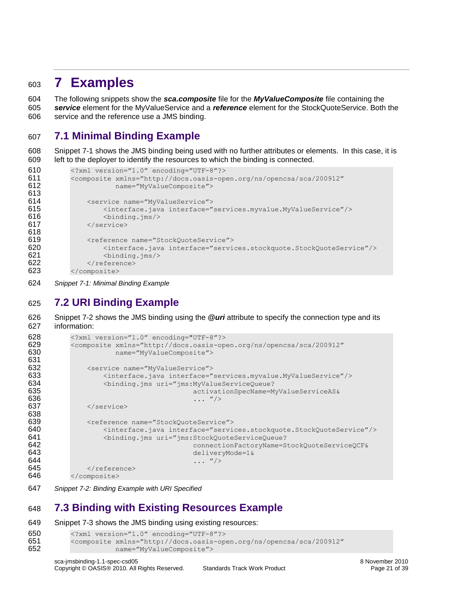### <span id="page-20-0"></span>**7 Examples**

 The following snippets show the *sca.composite* file for the *MyValueComposite* file containing the *service* element for the MyValueService and a *reference* element for the StockQuoteService. Both the service and the reference use a JMS binding.

### <span id="page-20-1"></span>**7.1 Minimal Binding Example**

 [Snippet 7-1](#page-20-4) shows the JMS binding being used with no further attributes or elements. In this case, it is left to the deployer to identify the resources to which the binding is connected.

```
610 <?xml version="1.0" encoding="UTF-8"?><br>611 <composite xmlns="http://docs.oasis-op
             611 <composite xmlns="http://docs.oasis-open.org/ns/opencsa/sca/200912"
612 name="MyValueComposite">
613
614 <service name="MyValueService">
615 <interface.java interface="services.myvalue.MyValueService"/>
616 <br />
\frac{1}{5} <br />
\frac{1}{5} <br />
\frac{1}{5} <br />
\frac{1}{5} <br />
\frac{1}{5} <br />
\frac{1}{5} <br />
\frac{1}{5} <br />
\frac{1}{5} <br />
\frac{1}{5} <br />
\frac{1}{5} <br />
\frac{1}{5} <br />
\frac{1}{5} <br />
\frac{1}{5617 </service>
618
619 <reference name="StockQuoteService">
620 <interface.java interface="services.stockquote.StockQuoteService"/>
621 <binding.jms/>
622 \langle /reference>
623 </composite>
```
<span id="page-20-4"></span>*Snippet 7-1: Minimal Binding Example*

### <span id="page-20-2"></span>**7.2 URI Binding Example**

 [Snippet 7-2](#page-20-5) shows the JMS binding using the *@uri* attribute to specify the connection type and its information:

```
628 <?xml version="1.0" encoding="UTF-8"?><br>629 <composite xmlns="http://docs.oasis-op
          629 <composite xmlns="http://docs.oasis-open.org/ns/opencsa/sca/200912"
630 name="MyValueComposite">
631
632 <service name="MyValueService">
633 <interface.java interface="services.myvalue.MyValueService"/>
                   634 <binding.jms uri="jms:MyValueServiceQueue?
635 activationSpecName=MyValueServiceAS&<br>636 activationSpecName=MyValueServiceAS&
                                         \cdots "/>
637 </service>
638
639 <reference name="StockQuoteService">
640 \leqinterface.java interface="services.stockquote.StockQuoteService"/><br>641 \leqbinding.jms uri="jms:StockQuoteServiceQueue?
                   641 <binding.jms uri="jms:StockQuoteServiceQueue?
642 connectionFactoryName=StockQuoteServiceQCF&
643 deliveryMode=1&<br>644 deliveryMode=1&<br>\ldots "/>
644 ... "/><br>645 ... </reference>
645 \le/reference><br>646 \le/composite>
          646 </composite>
```
<span id="page-20-5"></span>*Snippet 7-2: Binding Example with URI Specified*

### <span id="page-20-3"></span>**7.3 Binding with Existing Resources Example**

[Snippet 7-3](#page-21-2) shows the JMS binding using existing resources:

```
650 <?xml version="1.0" encoding="UTF-8"?><br>651 <composite xmlns="http://docs.oasis-op
            651 <composite xmlns="http://docs.oasis-open.org/ns/opencsa/sca/200912"
652 name="MyValueComposite">
```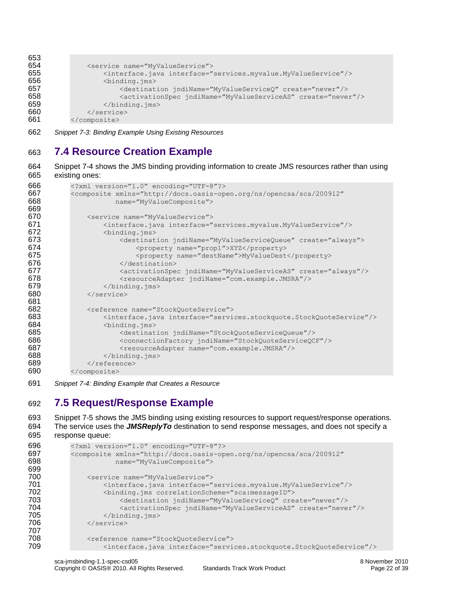```
653
654 <service name="MyValueService">
655 <interface.java interface="services.myvalue.MyValueService"/>
656 <br />
\leqbinding.jms>
657 <destination jndiName="MyValueServiceQ" create="never"/><br>658 <activationSpec indiName="MyValueServiceAS" create="neve
                        658 <activationSpec jndiName="MyValueServiceAS" create="never"/>
659 </binding.jms><br>660 </service>
660 </service><br>661 </composite>
           </composite>
```
<span id="page-21-2"></span>662 *Snippet 7-3: Binding Example Using Existing Resources*

### <span id="page-21-0"></span>663 **7.4 Resource Creation Example**

664 [Snippet 7-4](#page-21-3) shows the JMS binding providing information to create JMS resources rather than using 665 existing ones:

```
666 <?xml version="1.0" encoding="UTF-8"?>
667 <composite xmlns="http://docs.oasis-open.org/ns/opencsa/sca/200912"
                       668 name="MyValueComposite">
669<br>670
670 <service name="MyValueService"><br>671 <interface.java interface="
671 <interface.java interface="services.myvalue.MyValueService"/>
672 <binding.jms><br>673 <estinat
                        673 <destination jndiName="MyValueServiceQueue" create="always">
674 <property name="prop1">XYZ</property><br>675 <br/></broperty name="destName">MyValueDest
                            675 <property name="destName">MyValueDest</property>
676 </destination>
677 <activationSpec jndiName="MyValueServiceAS" create="always"/>
678 <resourceAdapter jndiName="com.example.JMSRA"/><br>679 </binding.jms>
679 </binding.jms><br>680 </service>
               680 </service>
681
682 <reference name="StockQuoteService"><br>683 <interface.java interface="servi
683 <interface.java interface="services.stockquote.StockQuoteService"/><br>684 <br/>>>>>>>>>>
684 <binding.jms><br>685 <a>>><a>><destinat</a>
                        685 <destination jndiName="StockQuoteServiceQueue"/>
686 <connectionFactory jndiName="StockQuoteServiceQCF"/>
687 <resourceAdapter name="com.example.JMSRA"/><br>688 </binding.ims>
                    </binding.jms>
689 \langle/reference><br>690 \langle/composite>
           </composite>
```
<span id="page-21-3"></span>691 *Snippet 7-4: Binding Example that Creates a Resource*

### <span id="page-21-1"></span>692 **7.5 Request/Response Example**

```
693 Snippet 7-5 shows the JMS binding using existing resources to support request/response operations. 
694 The service uses the JMSReplyTo destination to send response messages, and does not specify a 
695 response queue:
```

```
696 <?xml version="1.0" encoding="UTF-8"?><br>697 <composite xmlns="http://docs.oasis-ope
697 <composite xmlns="http://docs.oasis-open.org/ns/opencsa/sca/200912"
                      name="MyValueComposite">
699
700 <service name="MyValueService">
701 <interface.java interface="services.myvalue.MyValueService"/>
702 <binding.jms correlationScheme="sca:messageID">
703 <destination jndiName="MyValueServiceQ" create="never"/>
704 <activationSpec jndiName="MyValueServiceAS" create="never"/><br>705 </binding.ims>
705 </binding.jms><br>706 </service>
              </service>
707
708 <reference name="StockQuoteService"><br>709 <interface.java_interface="servi
                   709 <interface.java interface="services.stockquote.StockQuoteService"/>
```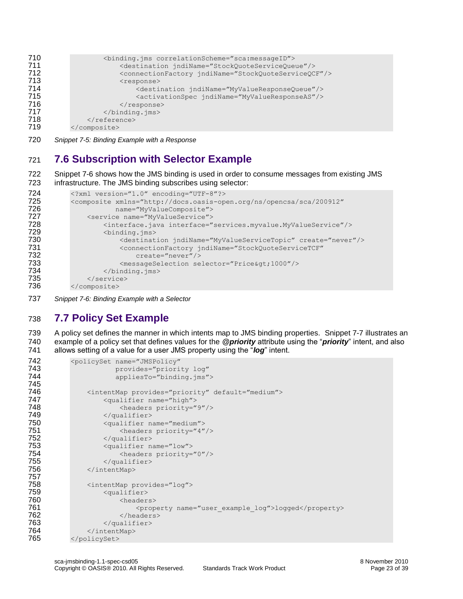```
710 <binding.jms correlationScheme="sca:messageID">
711 <destination jndiName="StockQuoteServiceQueue"/>
712 <connectionFactory jndiName="StockQuoteServiceQCF"/>
713 <response>
714 <destination jndiName="MyValueResponseQueue"/>
                    715 <activationSpec jndiName="MyValueResponseAS"/>
716 </response>
717 </binding.jms><br>718 </reference>
           </reference>
719 </composite>
```
<span id="page-22-2"></span>720 *Snippet 7-5: Binding Example with a Response*

### <span id="page-22-0"></span>721 **7.6 Subscription with Selector Example**

722 [Snippet 7-6](#page-22-3) shows how the JMS binding is used in order to consume messages from existing JMS 723 infrastructure. The JMS binding subscribes using selector:

```
724 <?xml version="1.0" encoding="UTF-8"?>
725 <composite xmlns="http://docs.oasis-open.org/ns/opencsa/sca/200912"
726 name="MyValueComposite">
727 <service name="MyValueService"><br>728 <interface.iava interface="
728 <interface.java interface="services.myvalue.MyValueService"/>
729 <binding.jms> 
                    730 <destination jndiName="MyValueServiceTopic" create="never"/> 
731 <connectionFactory jndiName="StockQuoteServiceTCF"
732 create="never"/> 
733 <messageSelection selector="Price&qt;1000"/>
734 </binding.jms><br>735 </service>
735 </service><br>736 </composite>
         </composite>
```
<span id="page-22-3"></span>737 *Snippet 7-6: Binding Example with a Selector*

### <span id="page-22-1"></span>738 **7.7 Policy Set Example**

739 A policy set defines the manner in which intents map to JMS binding properties. [Snippet 7-7](#page-23-0) illustrates an 740 example of a policy set that defines values for the *@priority* attribute using the "*priority*" intent, and also 741 allows setting of a value for a user JMS property using the "*log*" intent.

```
742 <policySet name="JMSPolicy"
743 provides="priority log"
                        appliesTo="binding.jms">
745
746 <intentMap provides="priority" default="medium"><br>747 < squalifier name="high">
747 <qualifier name="high">
748 <headers priority="9"/><br>749 </qualifier>
                    749 </qualifier>
750 <qualifier name="medium">
751 <headers priority="4"/>
752 </qualifier><br>753 <a>a> <a>
753 <qualifier name="low">
754 <headers priority="0"/><br>755 </aualifier>
755 </qualifier><br>756 </arr />
756 </arr />
756 </arr />
756 </arr />
756 </arr />
756 </arr />
756 </arr />
756 </arr />
757 </arr />
758 </arr />
758 </arr />
758 </arr />
758 </arr />
758 </arr />
758 </arr />
758 </arr 
                756 </intentMap>
757
758 <intentMap provides="log">
759 <qualifier>
760 <headers>
761 <property name="user_example_log">logged</property><br>762 </headers>
762 </headers><br>763 </aualifier>
                    763 </qualifier>
764 </intentMap>
765 </policySet>
```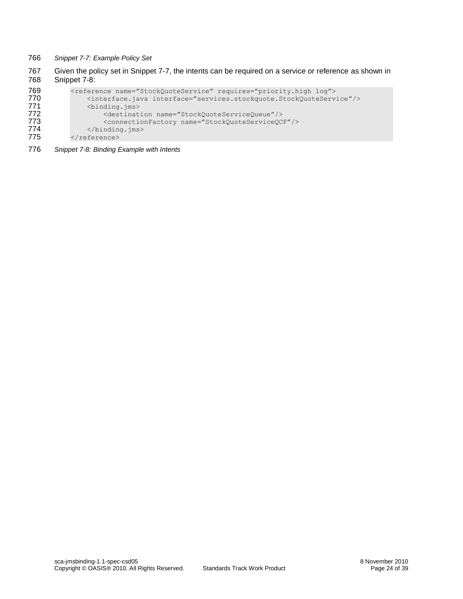- <span id="page-23-0"></span>766 *Snippet 7-7: Example Policy Set*
- 767 Given the policy set in [Snippet 7-7,](#page-23-0) the intents can be required on a service or reference as shown in 768 Shippet 7-8: [Snippet 7-8:](#page-23-1)

```
769 <reference name="StockQuoteService" requires="priority.high log"><br>770 <interface.java interface="services.stockquote.StockQuoteServi
770 <interface.java interface="services.stockquote.StockQuoteService"/>
771 <binding.jms><br>772 <destinat
772 <destination name="StockQuoteServiceQueue"/>
773 <connectionFactory name="StockQuoteServiceQCF"/><br>774 </binding.jms>
774 </binding.jms><br>775 </reference>
            </reference>
```
<span id="page-23-1"></span>776 *Snippet 7-8: Binding Example with Intents*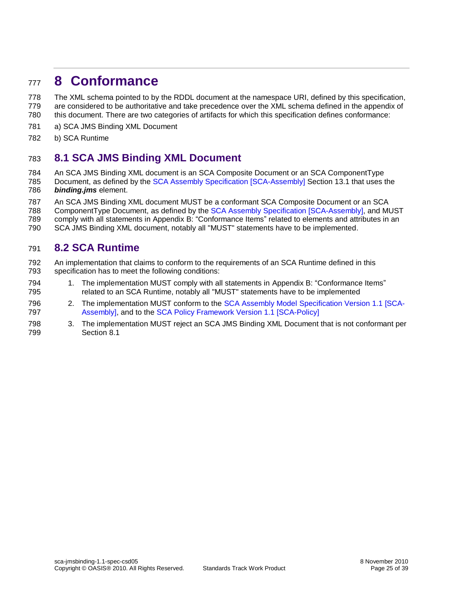### <span id="page-24-0"></span>**8 Conformance**

 The XML schema pointed to by the RDDL document at the namespace URI, defined by this specification, are considered to be authoritative and take precedence over the XML schema defined in the appendix of this document. There are two categories of artifacts for which this specification defines conformance:

- a) SCA JMS Binding XML Document
- b) SCA Runtime

#### <span id="page-24-1"></span>**8.1 SCA JMS Binding XML Document**

An SCA JMS Binding XML document is an SCA Composite Document or an SCA ComponentType

- Document, as defined by the [SCA Assembly Specification](#page-5-0) [SCA-Assembly] Section 13.1 that uses the *binding.jms* element.
- An SCA JMS Binding XML document MUST be a conformant SCA Composite Document or an SCA
- ComponentType Document, as defined by the [SCA Assembly Specification](#page-5-0) [SCA-Assembly], and MUST
- comply with all statements in Appendix [B:](#page-29-0) ["Conformance Items"](#page-29-0) related to elements and attributes in an
- SCA JMS Binding XML document, notably all "MUST" statements have to be implemented.

#### <span id="page-24-2"></span>**8.2 SCA Runtime**

- An implementation that claims to conform to the requirements of an SCA Runtime defined in this specification has to meet the following conditions:
- 1. The implementation MUST comply with all statements in Appendix [B:](#page-29-0) ["Conformance Items"](#page-29-0) related to an SCA Runtime, notably all "MUST" statements have to be implemented
- 2. The implementation MUST conform to the SCA Assembly Model [Specification Version 1.1](#page-5-0) [SCA-[Assembly\],](#page-5-0) and to the [SCA Policy Framework Version 1.1](#page-5-3) [SCA-Policy]
- 3. The implementation MUST reject an SCA JMS Binding XML Document that is not conformant per Section [8.1](#page-24-1)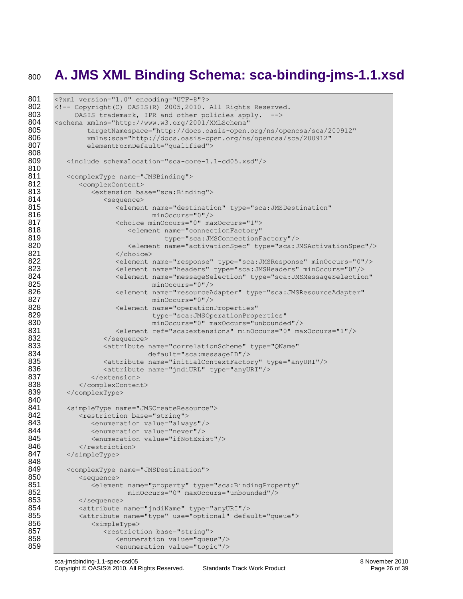# <span id="page-25-0"></span><sup>800</sup> **A. JMS XML Binding Schema: sca-binding-jms-1.1.xsd**

```
801 <?xml version="1.0" encoding="UTF-8"?>
802 <!-- Copyright(C) OASIS(R) 2005,2010. All Rights Reserved.<br>803 0ASIS trademark. IPR and other policies apply. -->
             0ASIS trademark, IPR and other policies apply. -->
804 <schema xmlns="http://www.w3.org/2001/XMLSchema"<br>805 targetNamespace="http://docs.oasis-open.
805 targetNamespace="http://docs.oasis-open.org/ns/opencsa/sca/200912"<br>806 mins:sca="http://docs.oasis-open.org/ns/opencsa/sca/200912"
                806 xmlns:sca="http://docs.oasis-open.org/ns/opencsa/sca/200912"
807 elementFormDefault="qualified">
808
          809 <include schemaLocation="sca-core-1.1-cd05.xsd"/>
810<br>811
          811 <complexType name="JMSBinding">
812 <complexContent>
813 <extension base="sca:Binding"><br>814 <sequence>
                     <sequence>
815 <element name="destination" type="sca:JMSDestination"
816 minOccurs="0"/>
817 (a) choice minOccurs="0" maxOccurs="1"><br>818 (a) clement name="connectionFactory"
818 <element name="connectionFactory"<br>819 type="sca:JMSConnectionF
819 type="sca:JMSConnectionFactory"/><br>820 the settlement name="activationSpec" type="sca:JMSConnectionFactory"/>
820 <element name="activationSpec" type="sca:JMSActivationSpec"/><br>821 </choice>
821 </choice><br>822 <element
822 <element name="response" type="sca:JMSResponse" minOccurs="0"/><br>823 <element name="headers" type="sca:JMSHeaders" minOccurs="0"/>
823 <element name="headers" type="sca:JMSHeaders" minOccurs="0"/>
824 <element name="messageSelection" type="sca:JMSMessageSelection"<br>825 minOccurs="0"/>
825 minOccurs="0"/><br>826 minOccurs="0"/> <element name="resourceA
826 <element name="resourceAdapter" type="sca:JMSResourceAdapter" <a><br>827 minOccurs="0"/>
827 minOccurs="0"/><br>828 <element name="operation
                        828 <element name="operationProperties" 
829 type="sca:JMSOperationProperties"
830 minOccurs="0" maxOccurs="unbounded"/>
831 <element ref="sca:extensions" minOccurs="0" maxOccurs="1"/><br>832 </sequence>
832 </sequence>
833 <attribute name="correlationScheme" type="QName"<br>834 default="sca:messageID"/>
834 default="sca:messageID"/><br>835 <attribute name="initialContextFacto>
835 <attribute name="initialContextFactory" type="anyURI"/><br>836 <attribute name="indiURL" type="anyURI"/>
                     836 <attribute name="jndiURL" type="anyURI"/>
837 </extension>
838 </complexContent><br>839 </complexType>
          839 </complexType>
840<br>841
841 < simpleType name="JMSCreateResource"><br>842 < restriction base="string">
842 <restriction base="string">
                 843 <enumeration value="always"/>
844 <enumeration value="never"/>
845 <enumeration value="ifNotExist"/><br>846 </restriction>
846 </restriction><br>847 </simpleType>
          847 </simpleType>
848<br>849
          849 <complexType name="JMSDestination">
850 <sequence>
851 <element name="property" type="sca:BindingProperty"
852 minOccurs="0" maxOccurs="unbounded"/>
853 </sequence><br>854 <attribute
854 <attribute name="jndiName" type="anyURI"/><br>855 <attribute name="type" use="optional" defa
855 <attribute name="type" use="optional" default="queue">
                 856 <simpleType>
857 > <restriction base="string"><br>858 > <enumeration value="gueu
858 <enumeration value="queue"/><br>859 <enumeration value="topic"/>
                        859 <enumeration value="topic"/>
```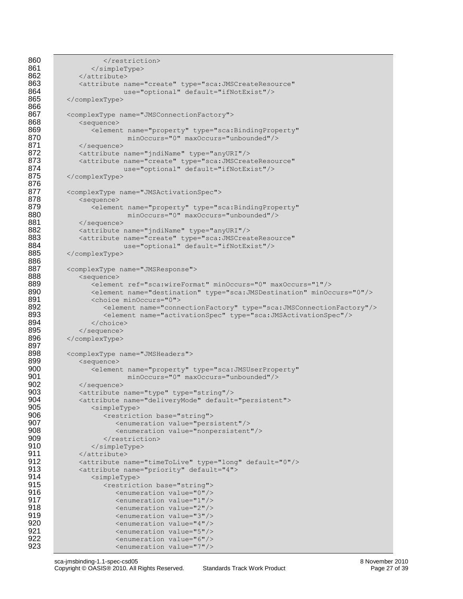```
860 </restriction><br>861 </simpleType>
861 </simpleType><br>862 </attribute>
                </attribute>
863 <attribute name="create" type="sca:JMSCreateResource"<br>864 use="optional" default="ifNotExist"/>
864 use="optional" default="ifNotExist"/><br>865 </complexType>
            865 </complexType>
866
867 <complexType name="JMSConnectionFactory">
868 <sequence><br>869 <sequence>
869 <element name="property" type="sca:BindingProperty"<br>870 minOccurs="0" maxOccurs="unbounded"/>
                               870 minOccurs="0" maxOccurs="unbounded"/>
871 </sequence><br>872 <attribute
                872 <attribute name="jndiName" type="anyURI"/>
873 <attribute name="create" type="sca:JMSCreateResource"<br>874 = se="optional" default="ifNotExist"/>
                              use="optional" default="ifNotExist"/>
875 </complexType>
876
877 <complexType name="JMSActivationSpec"><br>878 <sequence>
878 <sequence><br>879 <elemen
879 <element name="property" type="sca:BindingProperty"<br>880 minOccurs="0" maxOccurs="unbounded"/>
880 minOccurs="0" maxOccurs="unbounded"/><br>881 </sequence>
881 </sequence><br>882 <attribute
882 <attribute name="jndiName" type="anyURI"/><br>883 <attribute name="create" type="sca:JMSCrea
883 <attribute name="create" type="sca:JMSCreateResource"<br>884 use="optional" default="ifNotExist"/>
884 use="optional" default="ifNotExist"/><br>885 </complexType>
            885 </complexType>
886
887 <complexType name="JMSResponse"><br>888 <sequence>
888 <sequence><br>889 <sequence>
889 <element ref="sca:wireFormat" minOccurs="0" maxOccurs="1"/><br>890 <element name="destination" type="sca:JMSDestination" minOc
890 <element name="destination" type="sca:JMSDestination" minOccurs="0"/><br>891 <choice minOccurs="0">
891 <choice minOccurs="0"><br>892 <element name="conn
                        892 <element name="connectionFactory" type="sca:JMSConnectionFactory"/> 
893 <element name="activationSpec" type="sca:JMSActivationSpec"/><br>894 </choice>
                    </choice>
895 </sequence><br>896 </complexType>
            896 </complexType>
897<br>898
898 <complexType name="JMSHeaders"><br>899 <sequence>
                899 <sequence>
900 <element name="property" type="sca:JMSUserProperty"<br>901 minOccurs="0" maxOccurs="unbounded"/>
901 minOccurs="0" maxOccurs="unbounded"/><br>902 </sequence>
902 </sequence><br>903 <attribute
903 > <attribute name="type" type="string"/><br>904 > <attribute name="deliveryMode" default
904 <attribute name="deliveryMode" default="persistent"><br>905 <simpleType>
905 <simpleType><br>906 <simpleType>
906 > <restriction base="string"><br>907 > <enumeration value="pers
                           907 <enumeration value="persistent"/>
908 <enumeration value="nonpersistent"/><br>909 </restriction>
909 </restriction><br>910 </simpleType>
910 </simpleType><br>911 </attribute>
911 </attribute><br>912 <attribute n
912 <attribute name="timeToLive" type="long" default="0"/><br>913 <attribute name="priority" default="4">
                913 <attribute name="priority" default="4">
914 <simpleType>
915 > <restriction base="string"><br>916 > <enumeration value="0"/>
916 (Senumeration value="0"/><br>917 (Senumeration value="1"/>
917 (Senumeration value="1"/><br>918 (Senumeration value="2"/>
918 (919)<br>919 (919)<br>919 (919)<br>Senumeration value="3"/>
919 (1998) <enumeration value="3"/>
920 (1998) <enumeration value="4"/>
                           920 <enumeration value="4"/>
921 <enumeration value="5"/>
922 <enumeration value="6"/><br>923 <enumeration value="7"/>
                           923 <enumeration value="7"/>
```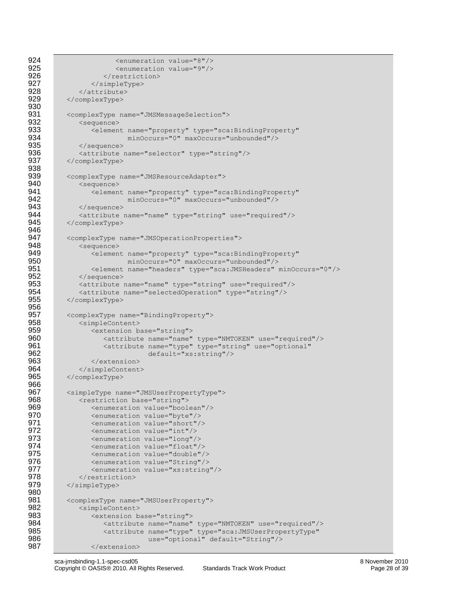```
924 <enumeration value="8"/>
925 <enumeration value="9"/><br>926 </restriction>
                      </restriction>
927 </simpleType><br>928 </attribute>
928 </attribute><br>929 </complexType>
           929 </complexType>
930<br>931
931 <complexType name="JMSMessageSelection"><br>932 <sequence>
932 <sequence> 
933 <element name="property" type="sca:BindingProperty"<br>934 minOccurs="0" maxOccurs="unbounded"/>
934 minOccurs="0" maxOccurs="unbounded"/><br>935 </sequence>
935 </sequence><br>936 <attribute
936 <attribute name="selector" type="string"/><br>937 </complexType>
           937 </complexType>
938<br>939
939 <complexType name="JMSResourceAdapter"><br>940 <sequence>
940 <sequence><br>941 <sequence>
941 <element name="property" type="sca:BindingProperty"<br>942 minOccurs="0" maxOccurs="unbounded"/>
942 minOccurs="0" maxOccurs="unbounded"/><br>943 </sequence>
943 </sequence><br>944 <attribute
944 <attribute name="name" type="string" use="required"/><br>945 </complexType>
           945 </complexType>
946<br>947
947 <complexType name="JMSOperationProperties"><br>948 <sequence>
948 <sequence><br>949 <sequence>
949 <element name="property" type="sca:BindingProperty"<br>950 minOccurs="0" maxOccurs="unbounded"/>
950 minOccurs="0" maxOccurs="unbounded"/>
951 <element name="headers" type="sca:JMSHeaders" minOccurs="0"/><br>952 </sequence>
952 </sequence><br>953 <attribute
953 <attribute name="name" type="string" use="required"/><br>954 <attribute name="selectedOperation" type="string"/>
954 <attribute name="selectedOperation" type="string"/><br>955 </complexType>
           955 </complexType>
956
957 <complexType name="BindingProperty"><br>958 <simpleContent>
958 <simpleContent><br>959 <extension b
959 <extension base="string">
960 <attribute name="name" type="NMTOKEN" use="required"/>
961 <attribute name="type" type="string" use="optional"<br>962 default="xs:string"/>
962 default="xs:string"/><br>963 </extension>
                   963 </extension>
964 </simpleContent><br>965 </complexType>
           965 </complexType>
966
967 <simpleType name="JMSUserPropertyType"><br>968 <restriction base="string">
968 <restriction base="string"><br>969 <enumeration value="bool
969 <enumeration value="boolean"/><br>970 <enumeration value="byte"/>
970 > <enumeration value="byte"/><br>971 > <enumeration value="short"/
                  971 <enumeration value="short"/>
972 <enumeration value="int"/><br>973 <enumeration value="long"/
973 > <enumeration value="long"/><br>974 > <enumeration value="float"/
974 <enumeration value="float"/><br>975 <enumeration value="double"/
975 <enumeration value="double"/>
976 > <enumeration value="String"/><br>977 > <enumeration value="xs:string"
                   977 <enumeration value="xs:string"/>
978 </restriction>
979 </simpleType>
980<br>981
981 <complexType name="JMSUserProperty"><br>982 <simpleContent>
982 <simpleContent><br>983 <sattension b
983 <extension base="string"><br>984 <attribute name="name"
                      984 <attribute name="name" type="NMTOKEN" use="required"/>
985 <attribute name="type" type="sca:JMSUserPropertyType"
986 use="optional" default="String"/>
987 </extension>
```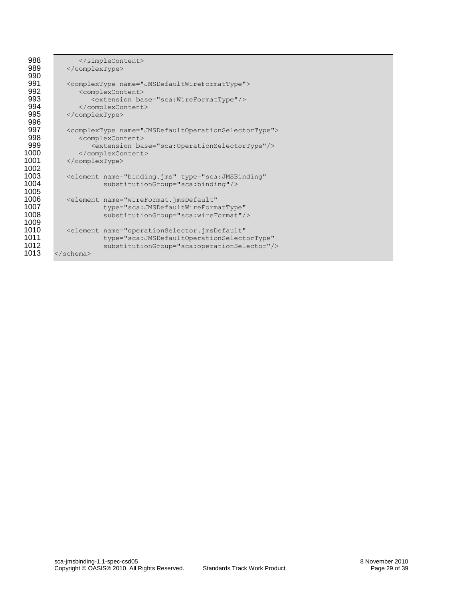| 988  |                                                                         |  |  |
|------|-------------------------------------------------------------------------|--|--|
| 989  |                                                                         |  |  |
| 990  |                                                                         |  |  |
| 991  | <complextype name="JMSDefaultWireFormatType"></complextype>             |  |  |
| 992  | <complexcontent></complexcontent>                                       |  |  |
| 993  | <extension base="sca:WireFormatType"></extension>                       |  |  |
| 994  |                                                                         |  |  |
| 995  |                                                                         |  |  |
| 996  |                                                                         |  |  |
| 997  | <complextype name="JMSDefaultOperationSelectorType"></complextype>      |  |  |
| 998  | <complexcontent></complexcontent>                                       |  |  |
| 999  | <extension base="sca:OperationSelectorType"></extension>                |  |  |
| 1000 |                                                                         |  |  |
| 1001 |                                                                         |  |  |
| 1002 |                                                                         |  |  |
| 1003 | <element <="" name="binding.jms" th="" type="sca:JMSBinding"></element> |  |  |
| 1004 | substitutionGroup="sca:binding"/>                                       |  |  |
| 1005 |                                                                         |  |  |
| 1006 | <element <="" name="wireFormat.jmsDefault" th=""></element>             |  |  |
| 1007 | type="sca: JMSDefaultWireFormatType"                                    |  |  |
| 1008 | substitutionGroup="sca:wireFormat"/>                                    |  |  |
| 1009 |                                                                         |  |  |
| 1010 | <element <="" name="operationSelector.jmsDefault" th=""></element>      |  |  |
| 1011 | type="sca:JMSDefaultOperationSelectorType"                              |  |  |
| 1012 | substitutionGroup="sca:operationSelector"/>                             |  |  |
| 1013 | $\langle$ /schema>                                                      |  |  |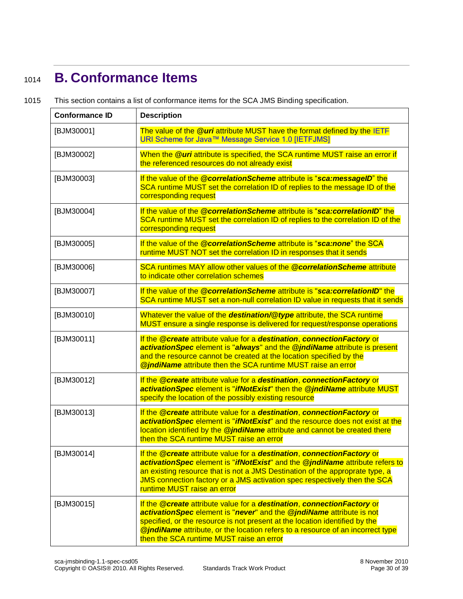# <span id="page-29-0"></span><sup>1014</sup> **B. Conformance Items**

1015 This section contains a list of conformance items for the SCA JMS Binding specification.

<span id="page-29-13"></span><span id="page-29-12"></span><span id="page-29-11"></span><span id="page-29-10"></span><span id="page-29-9"></span><span id="page-29-8"></span><span id="page-29-7"></span><span id="page-29-6"></span><span id="page-29-5"></span><span id="page-29-4"></span><span id="page-29-3"></span><span id="page-29-2"></span><span id="page-29-1"></span>

| <b>Conformance ID</b> | <b>Description</b>                                                                                                                                                                                                                                                                                                                                                 |
|-----------------------|--------------------------------------------------------------------------------------------------------------------------------------------------------------------------------------------------------------------------------------------------------------------------------------------------------------------------------------------------------------------|
| [BJM30001]            | The value of the <b>@uri</b> attribute MUST have the format defined by the IETF<br>URI Scheme for Java™ Message Service 1.0 [IETFJMS]                                                                                                                                                                                                                              |
| [BJM30002]            | When the @uri attribute is specified, the SCA runtime MUST raise an error if<br>the referenced resources do not already exist                                                                                                                                                                                                                                      |
| [BJM30003]            | If the value of the <i>@correlationScheme</i> attribute is "sca:messageID" the<br>SCA runtime MUST set the correlation ID of replies to the message ID of the<br>corresponding request                                                                                                                                                                             |
| [BJM30004]            | If the value of the <b>@correlationScheme</b> attribute is "sca:correlationID" the<br>SCA runtime MUST set the correlation ID of replies to the correlation ID of the<br>corresponding request                                                                                                                                                                     |
| [BJM30005]            | If the value of the @correlationScheme attribute is "sca:none" the SCA<br>runtime MUST NOT set the correlation ID in responses that it sends                                                                                                                                                                                                                       |
| [BJM30006]            | SCA runtimes MAY allow other values of the @correlationScheme attribute<br>to indicate other correlation schemes                                                                                                                                                                                                                                                   |
| [BJM30007]            | If the value of the @correlationScheme attribute is "sca:correlationID" the<br>SCA runtime MUST set a non-null correlation ID value in requests that it sends                                                                                                                                                                                                      |
| [BJM30010]            | Whatever the value of the destination/@type attribute, the SCA runtime<br>MUST ensure a single response is delivered for request/response operations                                                                                                                                                                                                               |
| [BJM30011]            | If the @create attribute value for a destination, connectionFactory or<br>activationSpec element is "always" and the @jndiName attribute is present<br>and the resource cannot be created at the location specified by the<br><b>@jndiName</b> attribute then the SCA runtime MUST raise an error                                                                  |
| [BJM30012]            | If the @create attribute value for a destination, connectionFactory or<br>activationSpec element is "ifNotExist" then the @jndiName attribute MUST<br>specify the location of the possibly existing resource                                                                                                                                                       |
| [BJM30013]            | If the @create attribute value for a destination, connectionFactory or<br>activationSpec element is "ifNotExist" and the resource does not exist at the<br>location identified by the @jndiName attribute and cannot be created there<br>then the SCA runtime MUST raise an error                                                                                  |
| [BJM30014]            | If the @create attribute value for a destination, connectionFactory or<br>activationSpec element is "ifNotExist" and the @jndiName attribute refers to<br>an existing resource that is not a JMS Destination of the approprate type, a<br>JMS connection factory or a JMS activation spec respectively then the SCA<br>runtime MUST raise an error                 |
| [BJM30015]            | If the @create attribute value for a destination, connectionFactory or<br>activationSpec element is "never" and the @jndiName attribute is not<br>specified, or the resource is not present at the location identified by the<br><b>@jndiName</b> attribute, or the location refers to a resource of an incorrect type<br>then the SCA runtime MUST raise an error |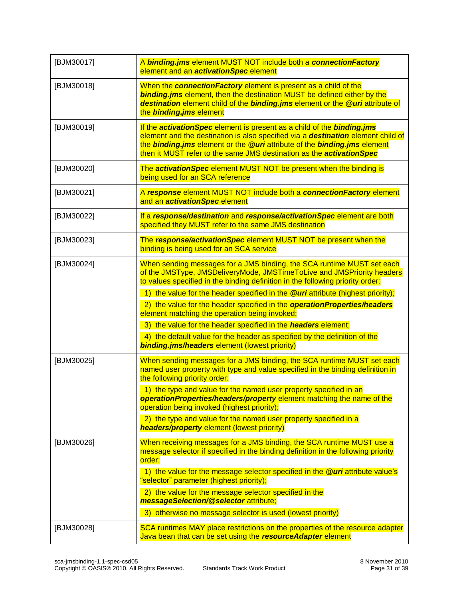<span id="page-30-10"></span><span id="page-30-9"></span><span id="page-30-8"></span><span id="page-30-7"></span><span id="page-30-6"></span><span id="page-30-5"></span><span id="page-30-4"></span><span id="page-30-3"></span><span id="page-30-2"></span><span id="page-30-1"></span><span id="page-30-0"></span>

| [BJM30017] | A binding.jms element MUST NOT include both a connectionFactory<br>element and an <b>activationSpec</b> element                                                                                                                                                                                                                                                                                                                                                                                                                                                                                                                                          |
|------------|----------------------------------------------------------------------------------------------------------------------------------------------------------------------------------------------------------------------------------------------------------------------------------------------------------------------------------------------------------------------------------------------------------------------------------------------------------------------------------------------------------------------------------------------------------------------------------------------------------------------------------------------------------|
| [BJM30018] | When the connectionFactory element is present as a child of the<br><b>binding.jms</b> element, then the destination MUST be defined either by the<br>destination element child of the binding.jms element or the @uri attribute of<br>the binding.jms element                                                                                                                                                                                                                                                                                                                                                                                            |
| [BJM30019] | If the activationSpec element is present as a child of the binding.jms<br>element and the destination is also specified via a destination element child of<br>the binding.jms element or the @uri attribute of the binding.jms element<br>then it MUST refer to the same JMS destination as the <b>activationSpec</b>                                                                                                                                                                                                                                                                                                                                    |
| [BJM30020] | The activationSpec element MUST NOT be present when the binding is<br>being used for an SCA reference                                                                                                                                                                                                                                                                                                                                                                                                                                                                                                                                                    |
| [BJM30021] | A response element MUST NOT include both a connectionFactory element<br>and an <b>activationSpec</b> element                                                                                                                                                                                                                                                                                                                                                                                                                                                                                                                                             |
| [BJM30022] | If a response/destination and response/activationSpec element are both<br>specified they MUST refer to the same JMS destination                                                                                                                                                                                                                                                                                                                                                                                                                                                                                                                          |
| [BJM30023] | The response/activationSpec element MUST NOT be present when the<br>binding is being used for an SCA service                                                                                                                                                                                                                                                                                                                                                                                                                                                                                                                                             |
| [BJM30024] | When sending messages for a JMS binding, the SCA runtime MUST set each<br>of the JMSType, JMSDeliveryMode, JMSTimeToLive and JMSPriority headers<br>to values specified in the binding definition in the following priority order:<br>1) the value for the header specified in the @uri attribute (highest priority);<br>2) the value for the header specified in the operationProperties/headers<br>element matching the operation being invoked;<br>3) the value for the header specified in the headers element;<br>4) the default value for the header as specified by the definition of the<br><b>binding.jms/headers</b> element (lowest priority) |
| [BJM30025] | When sending messages for a JMS binding, the SCA runtime MUST set each<br>named user property with type and value specified in the binding definition in<br>the following priority order:<br>1) the type and value for the named user property specified in an<br>operationProperties/headers/property element matching the name of the<br>operation being invoked (highest priority);<br>2) the type and value for the named user property specified in a<br><b>headers/property element (lowest priority)</b>                                                                                                                                          |
| [BJM30026] | When receiving messages for a JMS binding, the SCA runtime MUST use a<br>message selector if specified in the binding definition in the following priority<br>order:<br>1) the value for the message selector specified in the <b>@uri</b> attribute value's<br>"selector" parameter (highest priority);<br>2) the value for the message selector specified in the<br>messageSelection/@selector attribute;<br>3) otherwise no message selector is used (lowest priority)                                                                                                                                                                                |
| [BJM30028] | SCA runtimes MAY place restrictions on the properties of the resource adapter<br>Java bean that can be set using the resourceAdapter element                                                                                                                                                                                                                                                                                                                                                                                                                                                                                                             |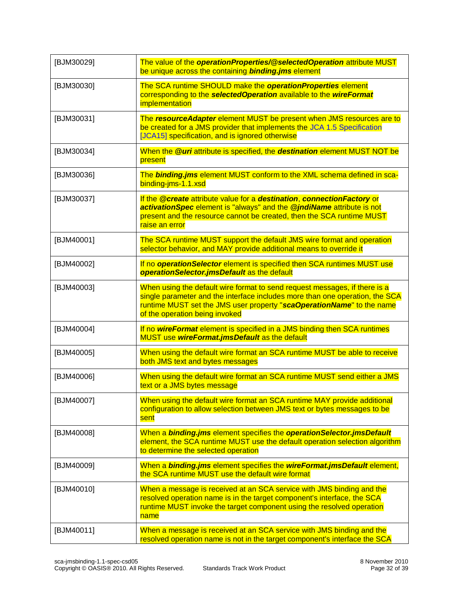<span id="page-31-16"></span><span id="page-31-15"></span><span id="page-31-14"></span><span id="page-31-13"></span><span id="page-31-12"></span><span id="page-31-11"></span><span id="page-31-10"></span><span id="page-31-9"></span><span id="page-31-8"></span><span id="page-31-7"></span><span id="page-31-6"></span><span id="page-31-5"></span><span id="page-31-4"></span><span id="page-31-3"></span><span id="page-31-2"></span><span id="page-31-1"></span><span id="page-31-0"></span>

| [BJM30029] | The value of the operationProperties/@selectedOperation attribute MUST<br>be unique across the containing <b>binding.jms</b> element                                                                                                                                  |
|------------|-----------------------------------------------------------------------------------------------------------------------------------------------------------------------------------------------------------------------------------------------------------------------|
| [BJM30030] | The SCA runtime SHOULD make the operationProperties element<br>corresponding to the selectedOperation available to the wireFormat<br>implementation                                                                                                                   |
| [BJM30031] | The resourceAdapter element MUST be present when JMS resources are to<br>be created for a JMS provider that implements the JCA 1.5 Specification<br>[JCA15] specification, and is ignored otherwise                                                                   |
| [BJM30034] | When the <b>@uri</b> attribute is specified, the <b>destination</b> element MUST NOT be<br>present                                                                                                                                                                    |
| [BJM30036] | The binding.jms element MUST conform to the XML schema defined in sca-<br>binding-jms-1.1.xsd                                                                                                                                                                         |
| [BJM30037] | If the @create attribute value for a destination, connectionFactory or<br>activationSpec element is "always" and the @jndiName attribute is not<br>present and the resource cannot be created, then the SCA runtime MUST<br>raise an error                            |
| [BJM40001] | The SCA runtime MUST support the default JMS wire format and operation<br>selector behavior, and MAY provide additional means to override it                                                                                                                          |
| [BJM40002] | If no <b>operationSelector</b> element is specified then SCA runtimes MUST use<br>operationSelector.jmsDefault as the default                                                                                                                                         |
| [BJM40003] | When using the default wire format to send request messages, if there is a<br>single parameter and the interface includes more than one operation, the SCA<br>runtime MUST set the JMS user property "scaOperationName" to the name<br>of the operation being invoked |
| [BJM40004] | If no wireFormat element is specified in a JMS binding then SCA runtimes<br>MUST use wireFormat.jmsDefault as the default                                                                                                                                             |
| [BJM40005] | When using the default wire format an SCA runtime MUST be able to receive<br>both JMS text and bytes messages                                                                                                                                                         |
| [BJM40006] | When using the default wire format an SCA runtime MUST send either a JMS<br>text or a JMS bytes message                                                                                                                                                               |
| [BJM40007] | When using the default wire format an SCA runtime MAY provide additional<br>configuration to allow selection between JMS text or bytes messages to be<br>sent                                                                                                         |
| [BJM40008] | When a binding.jms element specifies the operationSelector.jmsDefault<br>element, the SCA runtime MUST use the default operation selection algorithm<br>to determine the selected operation                                                                           |
| [BJM40009] | When a binding.jms element specifies the wireFormat.jmsDefault element,<br>the SCA runtime MUST use the default wire format                                                                                                                                           |
| [BJM40010] | When a message is received at an SCA service with JMS binding and the<br>resolved operation name is in the target component's interface, the SCA<br>runtime MUST invoke the target component using the resolved operation<br>name                                     |
| [BJM40011] | When a message is received at an SCA service with JMS binding and the<br>resolved operation name is not in the target component's interface the SCA                                                                                                                   |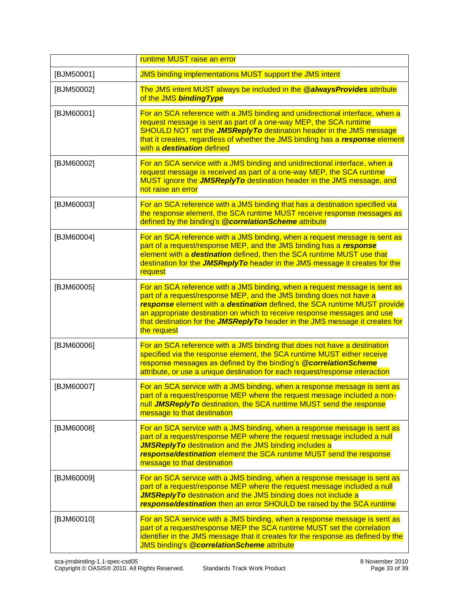<span id="page-32-11"></span><span id="page-32-10"></span><span id="page-32-9"></span><span id="page-32-8"></span><span id="page-32-7"></span><span id="page-32-6"></span><span id="page-32-5"></span><span id="page-32-4"></span><span id="page-32-3"></span><span id="page-32-2"></span><span id="page-32-1"></span><span id="page-32-0"></span>

|            | runtime MUST raise an error                                                                                                                                                                                                                                                                                                                                                                               |
|------------|-----------------------------------------------------------------------------------------------------------------------------------------------------------------------------------------------------------------------------------------------------------------------------------------------------------------------------------------------------------------------------------------------------------|
| [BJM50001] | <b>JMS binding implementations MUST support the JMS intent</b>                                                                                                                                                                                                                                                                                                                                            |
| [BJM50002] | The JMS intent MUST always be included in the @alwaysProvides attribute<br>of the JMS binding Type                                                                                                                                                                                                                                                                                                        |
| [BJM60001] | For an SCA reference with a JMS binding and unidirectional interface, when a<br>request message is sent as part of a one-way MEP, the SCA runtime<br>SHOULD NOT set the <b>JMSReplyTo</b> destination header in the JMS message<br>that it creates, regardless of whether the JMS binding has a response element<br>with a <b>destination</b> defined                                                     |
| [BJM60002] | For an SCA service with a JMS binding and unidirectional interface, when a<br>request message is received as part of a one-way MEP, the SCA runtime<br>MUST ignore the JMSReplyTo destination header in the JMS message, and<br>not raise an error                                                                                                                                                        |
| [BJM60003] | For an SCA reference with a JMS binding that has a destination specified via<br>the response element, the SCA runtime MUST receive response messages as<br>defined by the binding's @correlationScheme attribute                                                                                                                                                                                          |
| [BJM60004] | For an SCA reference with a JMS binding, when a request message is sent as<br>part of a request/response MEP, and the JMS binding has a response<br>element with a destination defined, then the SCA runtime MUST use that<br>destination for the <b>JMSReplyTo</b> header in the JMS message it creates for the<br>request                                                                               |
| [BJM60005] | For an SCA reference with a JMS binding, when a request message is sent as<br>part of a request/response MEP, and the JMS binding does not have a<br>response element with a destination defined, the SCA runtime MUST provide<br>an appropriate destination on which to receive response messages and use<br>that destination for the JMSReplyTo header in the JMS message it creates for<br>the request |
| [BJM60006] | For an SCA reference with a JMS binding that does not have a destination<br>specified via the response element, the SCA runtime MUST either receive<br>response messages as defined by the binding's @correlationScheme<br>attribute, or use a unique destination for each request/response interaction                                                                                                   |
| [BJM60007] | For an SCA service with a JMS binding, when a response message is sent as<br>part of a request/response MEP where the request message included a non-<br>null <b>JMSReplyTo</b> destination, the SCA runtime MUST send the response<br>message to that destination                                                                                                                                        |
| [BJM60008] | For an SCA service with a JMS binding, when a response message is sent as<br>part of a request/response MEP where the request message included a null<br><b>JMSReplyTo</b> destination and the JMS binding includes a<br>response/destination element the SCA runtime MUST send the response<br>message to that destination                                                                               |
| [BJM60009] | For an SCA service with a JMS binding, when a response message is sent as<br>part of a request/response MEP where the request message included a null<br><b>JMSReplyTo</b> destination and the JMS binding does not include a<br>response/destination then an error SHOULD be raised by the SCA runtime                                                                                                   |
| [BJM60010] | For an SCA service with a JMS binding, when a response message is sent as<br>part of a request/response MEP the SCA runtime MUST set the correlation<br>identifier in the JMS message that it creates for the response as defined by the<br><b>JMS binding's @correlationScheme attribute</b>                                                                                                             |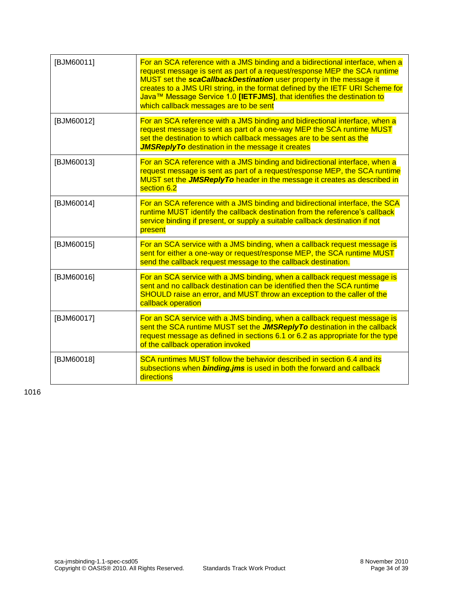<span id="page-33-4"></span><span id="page-33-3"></span><span id="page-33-2"></span><span id="page-33-1"></span>

| [BJM60011] | For an SCA reference with a JMS binding and a bidirectional interface, when a<br>request message is sent as part of a request/response MEP the SCA runtime<br>MUST set the scaCallbackDestination user property in the message it<br>creates to a JMS URI string, in the format defined by the IETF URI Scheme for<br>Java™ Message Service 1.0 [IETFJMS], that identifies the destination to<br>which callback messages are to be sent |
|------------|-----------------------------------------------------------------------------------------------------------------------------------------------------------------------------------------------------------------------------------------------------------------------------------------------------------------------------------------------------------------------------------------------------------------------------------------|
| [BJM60012] | For an SCA reference with a JMS binding and bidirectional interface, when a<br>request message is sent as part of a one-way MEP the SCA runtime MUST<br>set the destination to which callback messages are to be sent as the<br><b>JMSReplyTo destination in the message it creates</b>                                                                                                                                                 |
| [BJM60013] | For an SCA reference with a JMS binding and bidirectional interface, when a<br>request message is sent as part of a request/response MEP, the SCA runtime<br>MUST set the <b>JMSReplyTo</b> header in the message it creates as described in<br>section 6.2                                                                                                                                                                             |
| [BJM60014] | For an SCA reference with a JMS binding and bidirectional interface, the SCA<br>runtime MUST identify the callback destination from the reference's callback<br>service binding if present, or supply a suitable callback destination if not<br>present                                                                                                                                                                                 |
| [BJM60015] | For an SCA service with a JMS binding, when a callback request message is<br>sent for either a one-way or request/response MEP, the SCA runtime MUST<br>send the callback request message to the callback destination.                                                                                                                                                                                                                  |
| [BJM60016] | For an SCA service with a JMS binding, when a callback request message is<br>sent and no callback destination can be identified then the SCA runtime<br>SHOULD raise an error, and MUST throw an exception to the caller of the<br>callback operation                                                                                                                                                                                   |
| [BJM60017] | For an SCA service with a JMS binding, when a callback request message is<br>sent the SCA runtime MUST set the <b>JMSReplyTo</b> destination in the callback<br>request message as defined in sections 6.1 or 6.2 as appropriate for the type<br>of the callback operation invoked                                                                                                                                                      |
| [BJM60018] | SCA runtimes MUST follow the behavior described in section 6.4 and its<br>subsections when <b>binding.jms</b> is used in both the forward and callback<br>directions                                                                                                                                                                                                                                                                    |

<span id="page-33-7"></span><span id="page-33-6"></span><span id="page-33-5"></span><span id="page-33-0"></span>1016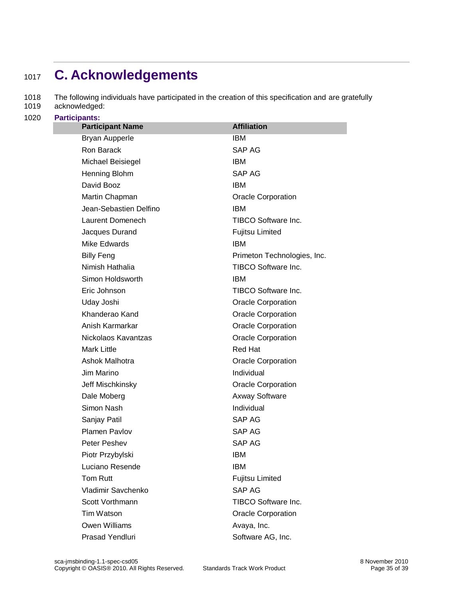# <span id="page-34-0"></span><sup>1017</sup> **C. Acknowledgements**

1018 The following individuals have participated in the creation of this specification and are gratefully<br>1019 acknowledged:

- acknowledged:
- 1020 **Participants:**

| <b>Participant Name</b> | <b>Affiliation</b>                                               |  |  |
|-------------------------|------------------------------------------------------------------|--|--|
| <b>Bryan Aupperle</b>   | <b>IBM</b>                                                       |  |  |
| Ron Barack              | SAP AG                                                           |  |  |
| Michael Beisiegel       | <b>IBM</b>                                                       |  |  |
| Henning Blohm           | <b>SAP AG</b>                                                    |  |  |
| David Booz              | <b>IBM</b>                                                       |  |  |
| Martin Chapman          | <b>Oracle Corporation</b>                                        |  |  |
| Jean-Sebastien Delfino  | <b>IBM</b>                                                       |  |  |
| Laurent Domenech        | <b>TIBCO Software Inc.</b>                                       |  |  |
| Jacques Durand          | Fujitsu Limited                                                  |  |  |
| Mike Edwards            | <b>IBM</b>                                                       |  |  |
| <b>Billy Feng</b>       | Primeton Technologies, Inc.                                      |  |  |
| Nimish Hathalia         | TIBCO Software Inc.                                              |  |  |
| Simon Holdsworth        | <b>IBM</b>                                                       |  |  |
| Eric Johnson            | TIBCO Software Inc.                                              |  |  |
| Uday Joshi              | <b>Oracle Corporation</b>                                        |  |  |
| Khanderao Kand          | <b>Oracle Corporation</b>                                        |  |  |
| Anish Karmarkar         | <b>Oracle Corporation</b>                                        |  |  |
| Nickolaos Kavantzas     | <b>Oracle Corporation</b>                                        |  |  |
| <b>Mark Little</b>      | <b>Red Hat</b>                                                   |  |  |
| Ashok Malhotra          | <b>Oracle Corporation</b>                                        |  |  |
| Jim Marino              | Individual<br><b>Oracle Corporation</b><br><b>Axway Software</b> |  |  |
| Jeff Mischkinsky        |                                                                  |  |  |
| Dale Moberg             |                                                                  |  |  |
| Simon Nash              | Individual                                                       |  |  |
| Sanjay Patil            | SAP AG                                                           |  |  |
| Plamen Pavlov           | SAP AG                                                           |  |  |
| Peter Peshev            | <b>SAP AG</b>                                                    |  |  |
| Piotr Przybylski        | <b>IBM</b>                                                       |  |  |
| Luciano Resende         | <b>IBM</b>                                                       |  |  |
| Tom Rutt                | <b>Fujitsu Limited</b>                                           |  |  |
| Vladimir Savchenko      | SAP AG                                                           |  |  |
| Scott Vorthmann         | <b>TIBCO Software Inc.</b>                                       |  |  |
| Tim Watson              | <b>Oracle Corporation</b>                                        |  |  |
| <b>Owen Williams</b>    | Avaya, Inc.                                                      |  |  |
| Prasad Yendluri         | Software AG, Inc.                                                |  |  |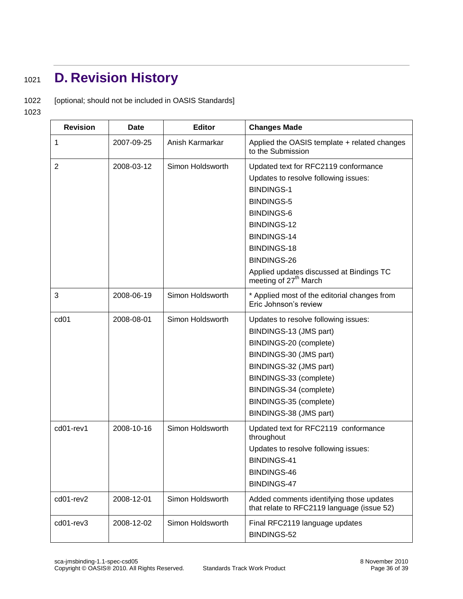# <span id="page-35-0"></span><sup>1021</sup> **D. Revision History**

1022 [optional; should not be included in OASIS Standards]

1023

| <b>Revision</b>  | <b>Date</b> | <b>Editor</b>    | <b>Changes Made</b>                                                                                                                                                                                                                                                                             |
|------------------|-------------|------------------|-------------------------------------------------------------------------------------------------------------------------------------------------------------------------------------------------------------------------------------------------------------------------------------------------|
| 1                | 2007-09-25  | Anish Karmarkar  | Applied the OASIS template + related changes<br>to the Submission                                                                                                                                                                                                                               |
| $\overline{2}$   | 2008-03-12  | Simon Holdsworth | Updated text for RFC2119 conformance<br>Updates to resolve following issues:<br><b>BINDINGS-1</b><br><b>BINDINGS-5</b><br><b>BINDINGS-6</b><br>BINDINGS-12<br>BINDINGS-14<br><b>BINDINGS-18</b><br>BINDINGS-26<br>Applied updates discussed at Bindings TC<br>meeting of 27 <sup>th</sup> March |
| 3                | 2008-06-19  | Simon Holdsworth | * Applied most of the editorial changes from<br>Eric Johnson's review                                                                                                                                                                                                                           |
| cd <sub>01</sub> | 2008-08-01  | Simon Holdsworth | Updates to resolve following issues:<br>BINDINGS-13 (JMS part)<br>BINDINGS-20 (complete)<br>BINDINGS-30 (JMS part)<br>BINDINGS-32 (JMS part)<br>BINDINGS-33 (complete)<br>BINDINGS-34 (complete)<br>BINDINGS-35 (complete)<br>BINDINGS-38 (JMS part)                                            |
| cd01-rev1        | 2008-10-16  | Simon Holdsworth | Updated text for RFC2119 conformance<br>throughout<br>Updates to resolve following issues:<br>BINDINGS-41<br>BINDINGS-46<br><b>BINDINGS-47</b>                                                                                                                                                  |
| cd01-rev2        | 2008-12-01  | Simon Holdsworth | Added comments identifying those updates<br>that relate to RFC2119 language (issue 52)                                                                                                                                                                                                          |
| cd01-rev3        | 2008-12-02  | Simon Holdsworth | Final RFC2119 language updates<br>BINDINGS-52                                                                                                                                                                                                                                                   |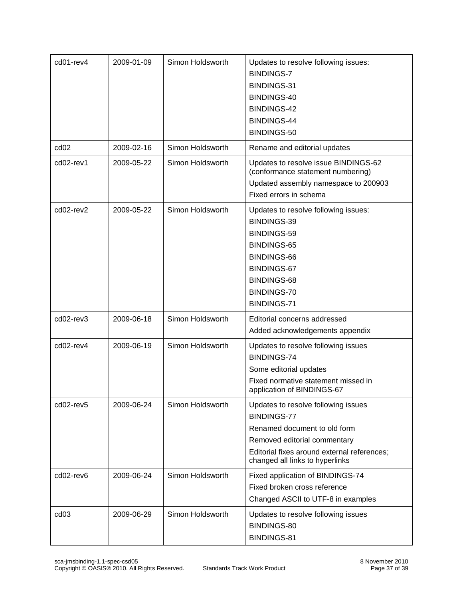| cd01-rev4        | 2009-01-09 | Simon Holdsworth | Updates to resolve following issues:<br><b>BINDINGS-7</b><br>BINDINGS-31<br>BINDINGS-40<br>BINDINGS-42<br>BINDINGS-44<br>BINDINGS-50                                                                        |
|------------------|------------|------------------|-------------------------------------------------------------------------------------------------------------------------------------------------------------------------------------------------------------|
| cd <sub>02</sub> | 2009-02-16 | Simon Holdsworth | Rename and editorial updates                                                                                                                                                                                |
| cd02-rev1        | 2009-05-22 | Simon Holdsworth | Updates to resolve issue BINDINGS-62<br>(conformance statement numbering)<br>Updated assembly namespace to 200903<br>Fixed errors in schema                                                                 |
| cd02-rev2        | 2009-05-22 | Simon Holdsworth | Updates to resolve following issues:<br>BINDINGS-39<br>BINDINGS-59<br><b>BINDINGS-65</b><br>BINDINGS-66<br>BINDINGS-67<br>BINDINGS-68<br>BINDINGS-70<br>BINDINGS-71                                         |
| cd02-rev3        | 2009-06-18 | Simon Holdsworth | Editorial concerns addressed<br>Added acknowledgements appendix                                                                                                                                             |
| cd02-rev4        | 2009-06-19 | Simon Holdsworth | Updates to resolve following issues<br><b>BINDINGS-74</b><br>Some editorial updates<br>Fixed normative statement missed in<br>application of BINDINGS-67                                                    |
| cd02-rev5        | 2009-06-24 | Simon Holdsworth | Updates to resolve following issues<br><b>BINDINGS-77</b><br>Renamed document to old form<br>Removed editorial commentary<br>Editorial fixes around external references;<br>changed all links to hyperlinks |
| cd02-rev6        | 2009-06-24 | Simon Holdsworth | Fixed application of BINDINGS-74<br>Fixed broken cross reference<br>Changed ASCII to UTF-8 in examples                                                                                                      |
| cd <sub>03</sub> | 2009-06-29 | Simon Holdsworth | Updates to resolve following issues<br>BINDINGS-80<br>BINDINGS-81                                                                                                                                           |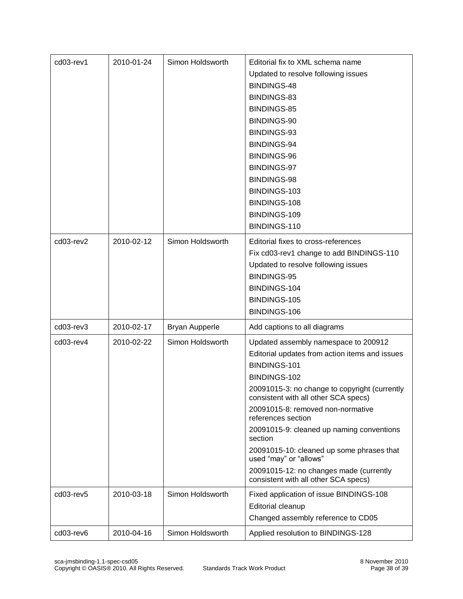| cd03-rev1 | 2010-01-24 | Simon Holdsworth      | Editorial fix to XML schema name                                                      |
|-----------|------------|-----------------------|---------------------------------------------------------------------------------------|
|           |            |                       | Updated to resolve following issues                                                   |
|           |            |                       | BINDINGS-48                                                                           |
|           |            |                       | BINDINGS-83                                                                           |
|           |            |                       | BINDINGS-85                                                                           |
|           |            |                       | BINDINGS-90                                                                           |
|           |            |                       | BINDINGS-93                                                                           |
|           |            |                       | BINDINGS-94                                                                           |
|           |            |                       | BINDINGS-96                                                                           |
|           |            |                       | BINDINGS-97                                                                           |
|           |            |                       | BINDINGS-98                                                                           |
|           |            |                       | BINDINGS-103                                                                          |
|           |            |                       | BINDINGS-108                                                                          |
|           |            |                       | BINDINGS-109                                                                          |
|           |            |                       | BINDINGS-110                                                                          |
| cd03-rev2 | 2010-02-12 | Simon Holdsworth      | Editorial fixes to cross-references                                                   |
|           |            |                       | Fix cd03-rev1 change to add BINDINGS-110                                              |
|           |            |                       | Updated to resolve following issues                                                   |
|           |            |                       | BINDINGS-95                                                                           |
|           |            |                       | BINDINGS-104                                                                          |
|           |            |                       | BINDINGS-105                                                                          |
|           |            |                       | BINDINGS-106                                                                          |
| cd03-rev3 | 2010-02-17 | <b>Bryan Aupperle</b> | Add captions to all diagrams                                                          |
| cd03-rev4 | 2010-02-22 | Simon Holdsworth      | Updated assembly namespace to 200912                                                  |
|           |            |                       | Editorial updates from action items and issues                                        |
|           |            |                       | BINDINGS-101                                                                          |
|           |            |                       | BINDINGS-102                                                                          |
|           |            |                       | 20091015-3: no change to copyright (currently<br>consistent with all other SCA specs) |
|           |            |                       | 20091015-8: removed non-normative<br>references section                               |
|           |            |                       | 20091015-9: cleaned up naming conventions<br>section                                  |
|           |            |                       | 20091015-10: cleaned up some phrases that<br>used "may" or "allows"                   |
|           |            |                       | 20091015-12: no changes made (currently<br>consistent with all other SCA specs)       |
| cd03-rev5 | 2010-03-18 | Simon Holdsworth      | Fixed application of issue BINDINGS-108                                               |
|           |            |                       | Editorial cleanup                                                                     |
|           |            |                       | Changed assembly reference to CD05                                                    |
| cd03-rev6 | 2010-04-16 | Simon Holdsworth      | Applied resolution to BINDINGS-128                                                    |